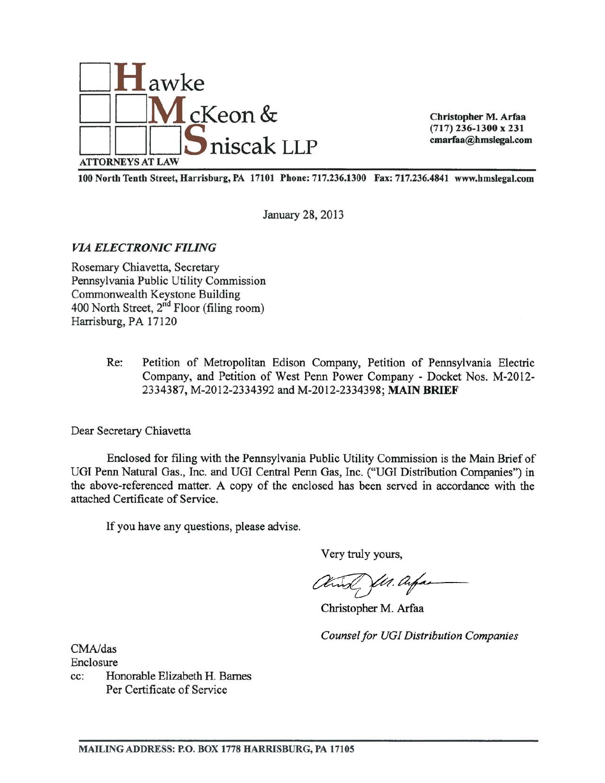

Christopher M. Arfaa  $(717)$  236-1300 x 231 cmarfaa@hmslegal.com

100 North Tenth Street, Harrisburg, PA 17101 Phone: 717.236.1300 Fax: 717.236.4841 www.hmslegal.com

January 28, 2013

**VIA ELECTRONIC FILING** 

Rosemary Chiavetta, Secretary Pennsylvania Public Utility Commission Commonwealth Keystone Building 400 North Street, 2<sup>nd</sup> Floor (filing room) Harrisburg, PA 17120

> $Re:$ Petition of Metropolitan Edison Company, Petition of Pennsylvania Electric Company, and Petition of West Penn Power Company - Docket Nos. M-2012-2334387, M-2012-2334392 and M-2012-2334398; MAIN BRIEF

Dear Secretary Chiavetta

Enclosed for filing with the Pennsylvania Public Utility Commission is the Main Brief of UGI Penn Natural Gas., Inc. and UGI Central Penn Gas, Inc. ("UGI Distribution Companies") in the above-referenced matter. A copy of the enclosed has been served in accordance with the attached Certificate of Service.

If you have any questions, please advise.

Very truly yours,

Ut. Ar,

Christopher M. Arfaa

**Counsel for UGI Distribution Companies** 

CMA/das Enclosure

Honorable Elizabeth H. Barnes  $cc$ : Per Certificate of Service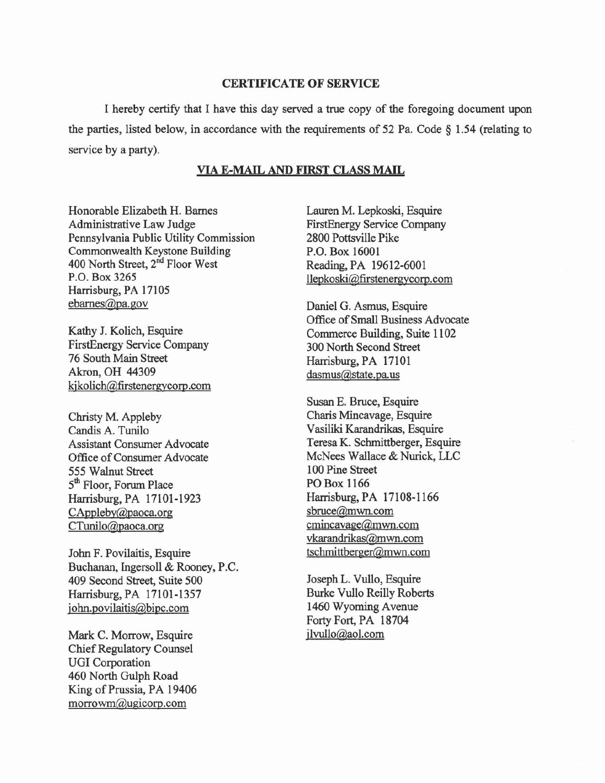#### **CERTIFICATE OF SERVICE**

I hereby certify that I have this day served a true copy of the foregoing document upon the parties, listed below, in accordance with the requirements of 52 Pa. Code  $\S$  1.54 (relating to service by a party).

### VIA E-MAIL AND FIRST CLASS MAIL

Honorable Elizabeth H. Barnes Administrative Law Judge Pennsylvania Public Utility Commission Commonwealth Keystone Building 400 North Street, 2<sup>nd</sup> Floor West P.O. Box 3265 Harrisburg, PA 17105 ebarnes@pa.gov

Kathy J. Kolich, Esquire **FirstEnergy Service Company** 76 South Main Street Akron, OH 44309 kjkolich@firstenergycorp.com

Christy M. Appleby Candis A. Tunilo **Assistant Consumer Advocate** Office of Consumer Advocate 555 Walnut Street 5<sup>th</sup> Floor, Forum Place Harrisburg, PA 17101-1923 CAppleby@paoca.org CTunilo@paoca.org

John F. Povilaitis, Esquire Buchanan, Ingersoll & Rooney, P.C. 409 Second Street, Suite 500 Harrisburg, PA 17101-1357 john.povilaitis@bipc.com

Mark C. Morrow, Esquire **Chief Regulatory Counsel UGI** Corporation 460 North Gulph Road King of Prussia, PA 19406  $morrown@u$ gicorp.com

Lauren M. Lepkoski, Esquire **FirstEnergy Service Company** 2800 Pottsville Pike P.O. Box 16001 Reading, PA 19612-6001 llepkoski@firstenergycorp.com

Daniel G. Asmus, Esquire Office of Small Business Advocate Commerce Building, Suite 1102 300 North Second Street Harrisburg, PA 17101 dasmus@state.pa.us

Susan E. Bruce, Esquire Charis Mincavage, Esquire Vasiliki Karandrikas, Esquire Teresa K. Schmittberger, Esquire McNees Wallace & Nurick, LLC 100 Pine Street PO Box 1166 Harrisburg, PA 17108-1166 sbruce@mwn.com  $emincavage@mwn.com$ vkarandrikas@mwn.com tschmittberger@mwn.com

Joseph L. Vullo, Esquire **Burke Vullo Reilly Roberts** 1460 Wyoming Avenue Forty Fort, PA 18704 jlvullo@aol.com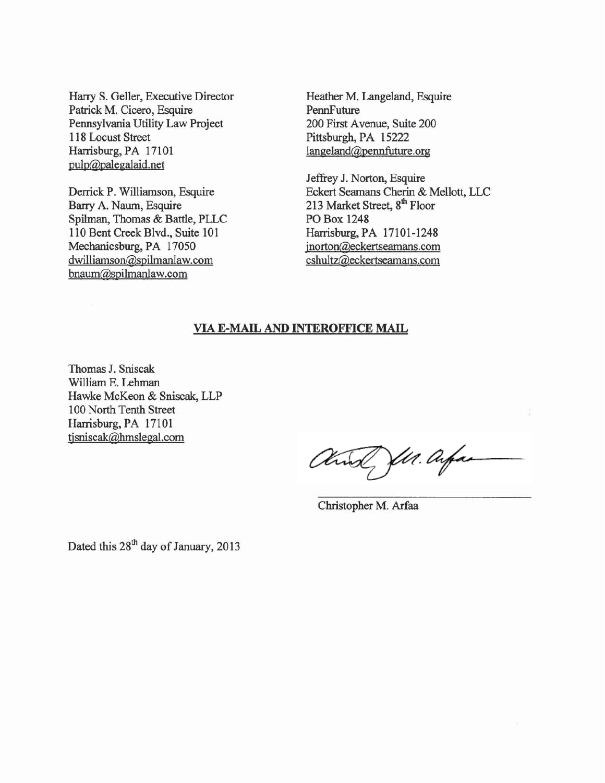Harry S. Geller, Executive Director Patrick M. Cicero, Esquire Pennsylvania Utility Law Project 118 Locust Street Harrisburg, PA 17101 pulp@palegalaid.net

Derrick P. Williamson, Esquire Barry A. Naum, Esquire Spilman, Thomas & Battle, PLLC 110 Bent Creek Blvd., Suite 101 Mechanicsburg, PA 17050 dwilliamson@spilmanlaw.com bnaum@spilmanlaw.com

Heather M. Langeland, Esquire PennFuture 200 First Avenue, Suite 200 Pittsburgh, PA 15222  $langeland@pennfuture.org$ 

Jeffrey J. Norton, Esquire Eckert Seamans Cherin & Mellott, LLC 213 Market Street, 8<sup>th</sup> Floor **PO Box 1248** Harrisburg, PA 17101-1248 jnorton@eckertseamans.com cshultz@eckertseamans.com

#### **VIA E-MAIL AND INTEROFFICE MAIL**

Thomas J. Sniscak William E. Lehman Hawke McKeon & Sniscak, LLP 100 North Tenth Street Harrisburg, PA 17101 tisniscak@hmslegal.com

Q fl1. Arfai

Christopher M. Arfaa

Dated this 28<sup>th</sup> day of January, 2013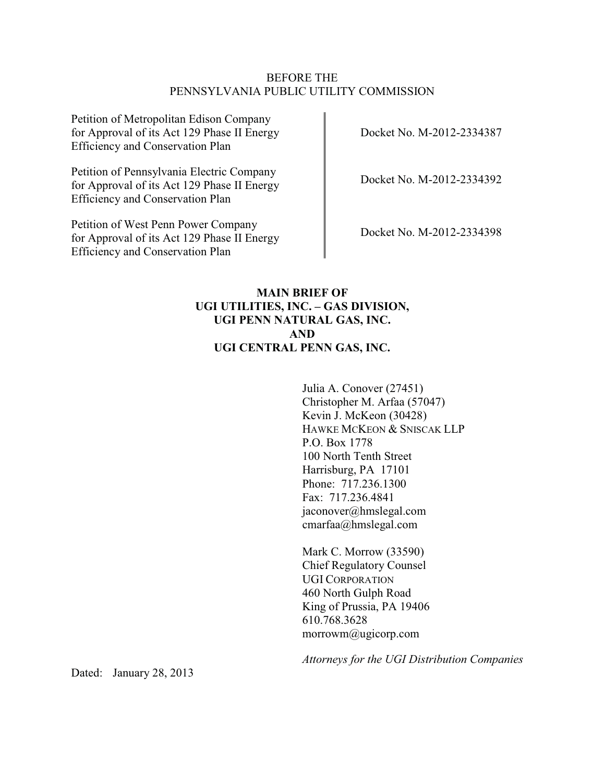### BEFORE THE PENNSYLVANIA PUBLIC UTILITY COMMISSION

Petition of Metropolitan Edison Company for Approval of its Act 129 Phase II Energy Efficiency and Conservation Plan

Petition of Pennsylvania Electric Company for Approval of its Act 129 Phase II Energy Efficiency and Conservation Plan

Petition of West Penn Power Company for Approval of its Act 129 Phase II Energy Efficiency and Conservation Plan

Docket No. M-2012-2334387

Docket No. M-2012-2334392

Docket No. M-2012-2334398

# **MAIN BRIEF OF UGI UTILITIES, INC. – GAS DIVISION, UGI PENN NATURAL GAS, INC. AND UGI CENTRAL PENN GAS, INC.**

Julia A. Conover (27451) Christopher M. Arfaa (57047) Kevin J. McKeon (30428) HAWKE MCKEON & SNISCAK LLP P.O. Box 1778 100 North Tenth Street Harrisburg, PA 17101 Phone: 717.236.1300 Fax: 717.236.4841 jaconover@hmslegal.com cmarfaa@hmslegal.com

Mark C. Morrow (33590) Chief Regulatory Counsel UGI CORPORATION 460 North Gulph Road King of Prussia, PA 19406 610.768.3628 morrowm@ugicorp.com

*Attorneys for the UGI Distribution Companies*

Dated: January 28, 2013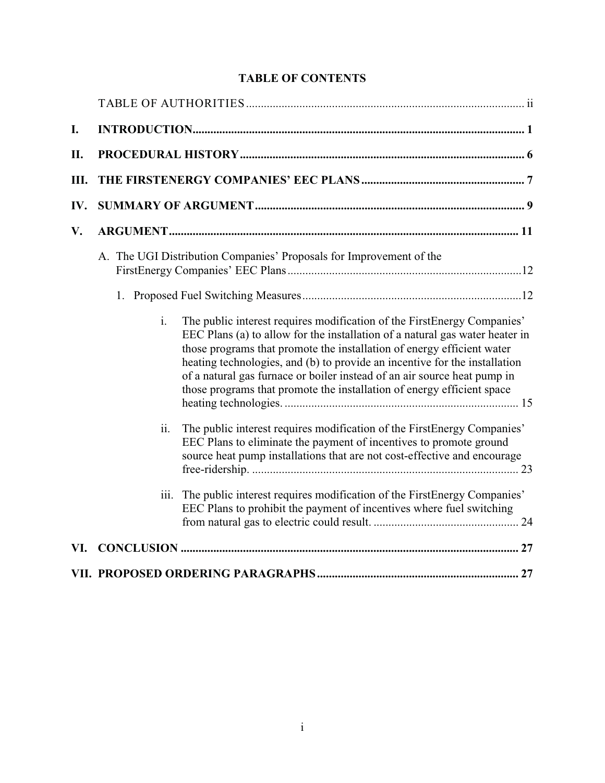# **TABLE OF CONTENTS**

| I.   |                                                                                                                                                                                                                                                                                                                                                                                                                                                                                         |  |  |  |  |  |
|------|-----------------------------------------------------------------------------------------------------------------------------------------------------------------------------------------------------------------------------------------------------------------------------------------------------------------------------------------------------------------------------------------------------------------------------------------------------------------------------------------|--|--|--|--|--|
| II.  |                                                                                                                                                                                                                                                                                                                                                                                                                                                                                         |  |  |  |  |  |
| III. |                                                                                                                                                                                                                                                                                                                                                                                                                                                                                         |  |  |  |  |  |
| IV.  |                                                                                                                                                                                                                                                                                                                                                                                                                                                                                         |  |  |  |  |  |
| V.   |                                                                                                                                                                                                                                                                                                                                                                                                                                                                                         |  |  |  |  |  |
|      | A. The UGI Distribution Companies' Proposals for Improvement of the                                                                                                                                                                                                                                                                                                                                                                                                                     |  |  |  |  |  |
|      |                                                                                                                                                                                                                                                                                                                                                                                                                                                                                         |  |  |  |  |  |
|      | $\mathbf{i}$ .<br>The public interest requires modification of the FirstEnergy Companies'<br>EEC Plans (a) to allow for the installation of a natural gas water heater in<br>those programs that promote the installation of energy efficient water<br>heating technologies, and (b) to provide an incentive for the installation<br>of a natural gas furnace or boiler instead of an air source heat pump in<br>those programs that promote the installation of energy efficient space |  |  |  |  |  |
|      | The public interest requires modification of the First Energy Companies'<br>ii.<br>EEC Plans to eliminate the payment of incentives to promote ground<br>source heat pump installations that are not cost-effective and encourage                                                                                                                                                                                                                                                       |  |  |  |  |  |
|      | The public interest requires modification of the FirstEnergy Companies'<br>iii.<br>EEC Plans to prohibit the payment of incentives where fuel switching                                                                                                                                                                                                                                                                                                                                 |  |  |  |  |  |
| VI.  |                                                                                                                                                                                                                                                                                                                                                                                                                                                                                         |  |  |  |  |  |
|      |                                                                                                                                                                                                                                                                                                                                                                                                                                                                                         |  |  |  |  |  |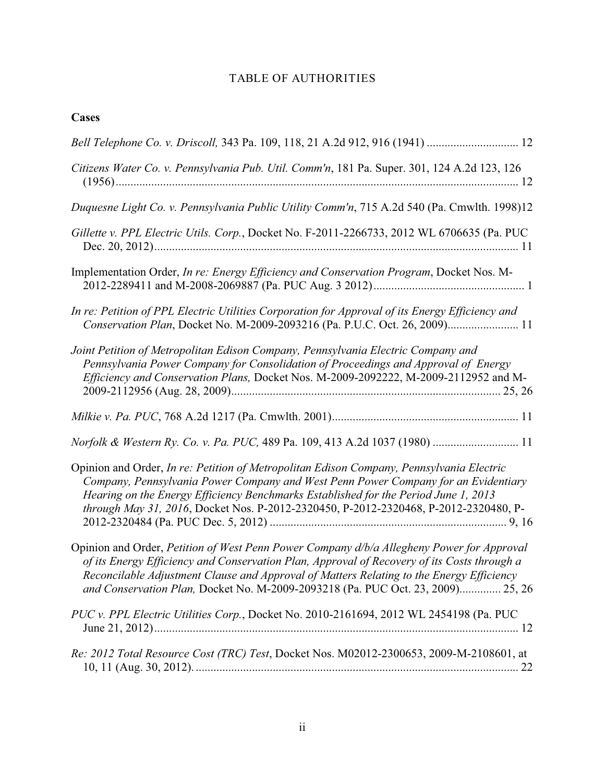# TABLE OF AUTHORITIES

# **Cases**

| Bell Telephone Co. v. Driscoll, 343 Pa. 109, 118, 21 A.2d 912, 916 (1941)  12                                                                                                                                                                                                                                                                                           |
|-------------------------------------------------------------------------------------------------------------------------------------------------------------------------------------------------------------------------------------------------------------------------------------------------------------------------------------------------------------------------|
| Citizens Water Co. v. Pennsylvania Pub. Util. Comm'n, 181 Pa. Super. 301, 124 A.2d 123, 126                                                                                                                                                                                                                                                                             |
| Duquesne Light Co. v. Pennsylvania Public Utility Comm'n, 715 A.2d 540 (Pa. Cmwlth. 1998)12                                                                                                                                                                                                                                                                             |
| Gillette v. PPL Electric Utils. Corp., Docket No. F-2011-2266733, 2012 WL 6706635 (Pa. PUC                                                                                                                                                                                                                                                                              |
| Implementation Order, In re: Energy Efficiency and Conservation Program, Docket Nos. M-                                                                                                                                                                                                                                                                                 |
| In re: Petition of PPL Electric Utilities Corporation for Approval of its Energy Efficiency and<br>Conservation Plan, Docket No. M-2009-2093216 (Pa. P.U.C. Oct. 26, 2009) 11                                                                                                                                                                                           |
| Joint Petition of Metropolitan Edison Company, Pennsylvania Electric Company and<br>Pennsylvania Power Company for Consolidation of Proceedings and Approval of Energy<br>Efficiency and Conservation Plans, Docket Nos. M-2009-2092222, M-2009-2112952 and M-                                                                                                          |
|                                                                                                                                                                                                                                                                                                                                                                         |
| Norfolk & Western Ry. Co. v. Pa. PUC, 489 Pa. 109, 413 A.2d 1037 (1980)  11                                                                                                                                                                                                                                                                                             |
| Opinion and Order, In re: Petition of Metropolitan Edison Company, Pennsylvania Electric<br>Company, Pennsylvania Power Company and West Penn Power Company for an Evidentiary<br>Hearing on the Energy Efficiency Benchmarks Established for the Period June 1, 2013<br>through May 31, 2016, Docket Nos. P-2012-2320450, P-2012-2320468, P-2012-2320480, P-           |
| Opinion and Order, Petition of West Penn Power Company d/b/a Allegheny Power for Approval<br>of its Energy Efficiency and Conservation Plan, Approval of Recovery of its Costs through a<br>Reconcilable Adjustment Clause and Approval of Matters Relating to the Energy Efficiency<br>and Conservation Plan, Docket No. M-2009-2093218 (Pa. PUC Oct. 23, 2009) 25, 26 |
| PUC v. PPL Electric Utilities Corp., Docket No. 2010-2161694, 2012 WL 2454198 (Pa. PUC                                                                                                                                                                                                                                                                                  |
| Re: 2012 Total Resource Cost (TRC) Test, Docket Nos. M02012-2300653, 2009-M-2108601, at                                                                                                                                                                                                                                                                                 |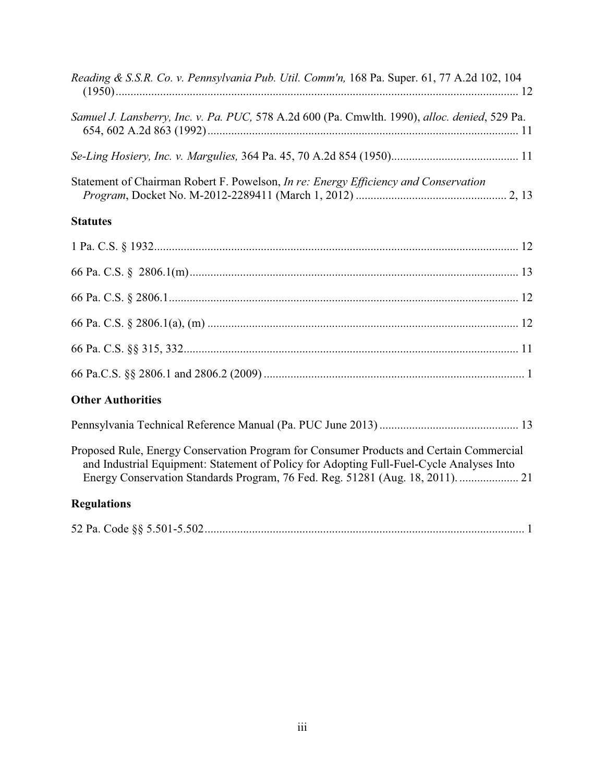| Reading & S.S.R. Co. v. Pennsylvania Pub. Util. Comm'n, 168 Pa. Super. 61, 77 A.2d 102, 104                                                                                                                                                                           |
|-----------------------------------------------------------------------------------------------------------------------------------------------------------------------------------------------------------------------------------------------------------------------|
| Samuel J. Lansberry, Inc. v. Pa. PUC, 578 A.2d 600 (Pa. Cmwlth. 1990), alloc. denied, 529 Pa.                                                                                                                                                                         |
|                                                                                                                                                                                                                                                                       |
| Statement of Chairman Robert F. Powelson, In re: Energy Efficiency and Conservation                                                                                                                                                                                   |
| <b>Statutes</b>                                                                                                                                                                                                                                                       |
|                                                                                                                                                                                                                                                                       |
|                                                                                                                                                                                                                                                                       |
|                                                                                                                                                                                                                                                                       |
|                                                                                                                                                                                                                                                                       |
|                                                                                                                                                                                                                                                                       |
|                                                                                                                                                                                                                                                                       |
| <b>Other Authorities</b>                                                                                                                                                                                                                                              |
|                                                                                                                                                                                                                                                                       |
| Proposed Rule, Energy Conservation Program for Consumer Products and Certain Commercial<br>and Industrial Equipment: Statement of Policy for Adopting Full-Fuel-Cycle Analyses Into<br>Energy Conservation Standards Program, 76 Fed. Reg. 51281 (Aug. 18, 2011).  21 |
| <b>Regulations</b>                                                                                                                                                                                                                                                    |
|                                                                                                                                                                                                                                                                       |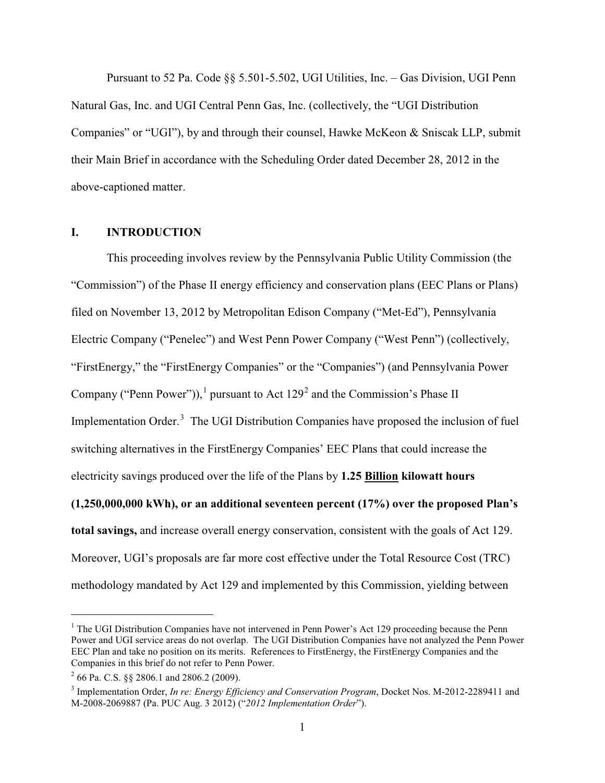Pursuant to 52 Pa. Code §§ 5.501-5.502, UGI Utilities, Inc. – Gas Division, UGI Penn Natural Gas, Inc. and UGI Central Penn Gas, Inc. (collectively, the "UGI Distribution Companies" or "UGI"), by and through their counsel, Hawke McKeon & Sniscak LLP, submit their Main Brief in accordance with the Scheduling Order dated December 28, 2012 in the above-captioned matter.

#### **I. INTRODUCTION**

This proceeding involves review by the Pennsylvania Public Utility Commission (the "Commission") of the Phase II energy efficiency and conservation plans (EEC Plans or Plans) filed on November 13, 2012 by Metropolitan Edison Company ("Met-Ed"), Pennsylvania Electric Company ("Penelec") and West Penn Power Company ("West Penn") (collectively, "FirstEnergy," the "FirstEnergy Companies" or the "Companies") (and Pennsylvania Power Company ("Penn Power")),<sup>1</sup> pursuant to Act  $129<sup>2</sup>$  and the Commission's Phase II Implementation Order.<sup>3</sup> The UGI Distribution Companies have proposed the inclusion of fuel switching alternatives in the FirstEnergy Companies' EEC Plans that could increase the electricity savings produced over the life of the Plans by **1.25 Billion kilowatt hours (1,250,000,000 kWh), or an additional seventeen percent (17%) over the proposed Plan's total savings,** and increase overall energy conservation, consistent with the goals of Act 129. Moreover, UGI's proposals are far more cost effective under the Total Resource Cost (TRC) methodology mandated by Act 129 and implemented by this Commission, yielding between

<sup>&</sup>lt;sup>1</sup> The UGI Distribution Companies have not intervened in Penn Power's Act 129 proceeding because the Penn Power and UGI service areas do not overlap. The UGI Distribution Companies have not analyzed the Penn Power EEC Plan and take no position on its merits. References to FirstEnergy, the FirstEnergy Companies and the Companies in this brief do not refer to Penn Power.

 $^{2}$  66 Pa. C.S. §§ 2806.1 and 2806.2 (2009).

<sup>3</sup> Implementation Order, *In re: Energy Efficiency and Conservation Program*, Docket Nos. M-2012-2289411 and M-2008-2069887 (Pa. PUC Aug. 3 2012) ("*2012 Implementation Order*").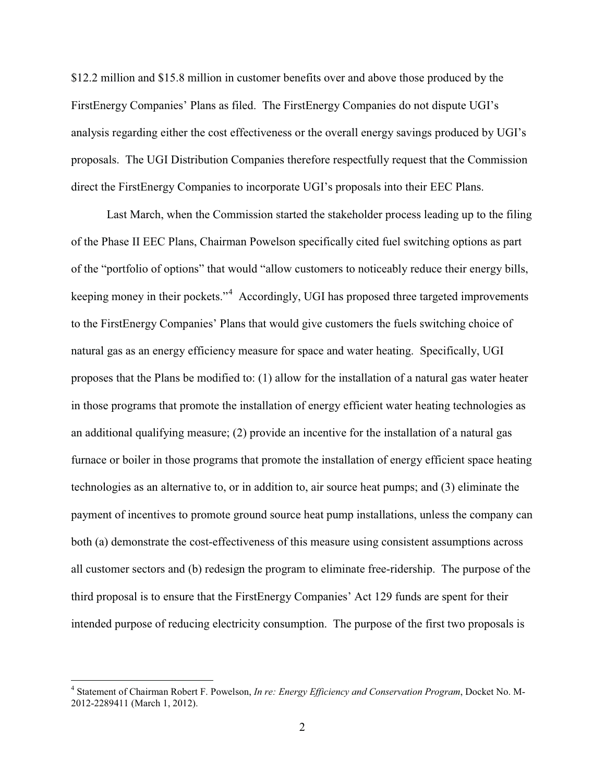\$12.2 million and \$15.8 million in customer benefits over and above those produced by the FirstEnergy Companies' Plans as filed. The FirstEnergy Companies do not dispute UGI's analysis regarding either the cost effectiveness or the overall energy savings produced by UGI's proposals. The UGI Distribution Companies therefore respectfully request that the Commission direct the FirstEnergy Companies to incorporate UGI's proposals into their EEC Plans.

Last March, when the Commission started the stakeholder process leading up to the filing of the Phase II EEC Plans, Chairman Powelson specifically cited fuel switching options as part of the "portfolio of options" that would "allow customers to noticeably reduce their energy bills, keeping money in their pockets."<sup>4</sup> Accordingly, UGI has proposed three targeted improvements to the FirstEnergy Companies' Plans that would give customers the fuels switching choice of natural gas as an energy efficiency measure for space and water heating. Specifically, UGI proposes that the Plans be modified to: (1) allow for the installation of a natural gas water heater in those programs that promote the installation of energy efficient water heating technologies as an additional qualifying measure; (2) provide an incentive for the installation of a natural gas furnace or boiler in those programs that promote the installation of energy efficient space heating technologies as an alternative to, or in addition to, air source heat pumps; and (3) eliminate the payment of incentives to promote ground source heat pump installations, unless the company can both (a) demonstrate the cost-effectiveness of this measure using consistent assumptions across all customer sectors and (b) redesign the program to eliminate free-ridership. The purpose of the third proposal is to ensure that the FirstEnergy Companies' Act 129 funds are spent for their intended purpose of reducing electricity consumption. The purpose of the first two proposals is

<sup>4</sup> Statement of Chairman Robert F. Powelson, *In re: Energy Efficiency and Conservation Program*, Docket No. M-2012-2289411 (March 1, 2012).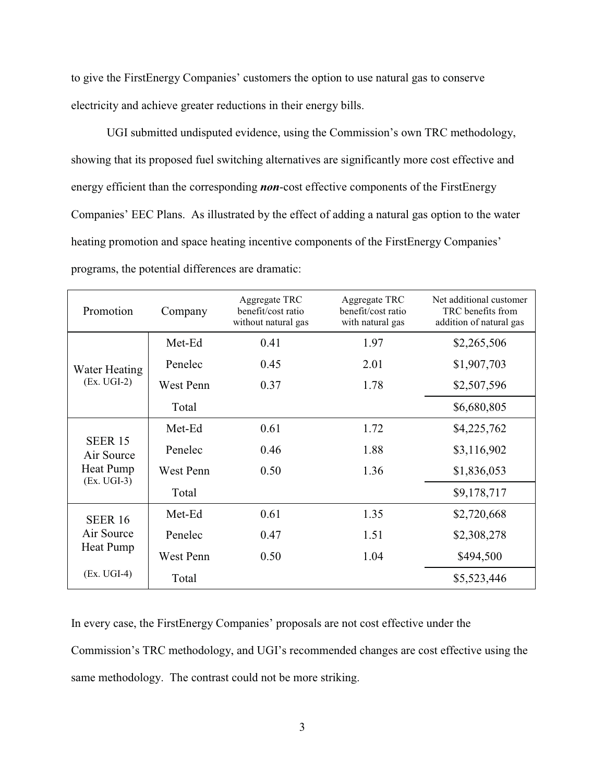to give the FirstEnergy Companies' customers the option to use natural gas to conserve electricity and achieve greater reductions in their energy bills.

UGI submitted undisputed evidence, using the Commission's own TRC methodology, showing that its proposed fuel switching alternatives are significantly more cost effective and energy efficient than the corresponding *non*-cost effective components of the FirstEnergy Companies' EEC Plans. As illustrated by the effect of adding a natural gas option to the water heating promotion and space heating incentive components of the FirstEnergy Companies' programs, the potential differences are dramatic:

| Promotion                    | Company   | Aggregate TRC<br>benefit/cost ratio<br>without natural gas | Aggregate TRC<br>benefit/cost ratio<br>with natural gas | Net additional customer<br>TRC benefits from<br>addition of natural gas |
|------------------------------|-----------|------------------------------------------------------------|---------------------------------------------------------|-------------------------------------------------------------------------|
|                              | Met-Ed    | 0.41                                                       | 1.97                                                    | \$2,265,506                                                             |
| Water Heating                | Penelec   | 0.45                                                       | 2.01                                                    | \$1,907,703                                                             |
| $(EX. UGI-2)$                | West Penn | 0.37                                                       | 1.78                                                    | \$2,507,596                                                             |
|                              | Total     |                                                            |                                                         | \$6,680,805                                                             |
|                              | Met-Ed    | 0.61                                                       | 1.72                                                    | \$4,225,762                                                             |
| <b>SEER 15</b><br>Air Source | Penelec   | 0.46                                                       | 1.88                                                    | \$3,116,902                                                             |
| Heat Pump                    | West Penn | 0.50                                                       | 1.36                                                    | \$1,836,053                                                             |
| $(EX. UGI-3)$                | Total     |                                                            |                                                         | \$9,178,717                                                             |
| <b>SEER 16</b>               | Met-Ed    | 0.61                                                       | 1.35                                                    | \$2,720,668                                                             |
| Air Source                   | Penelec   | 0.47                                                       | 1.51                                                    | \$2,308,278                                                             |
| Heat Pump                    | West Penn | 0.50                                                       | 1.04                                                    | \$494,500                                                               |
| $(EX. UGI-4)$                | Total     |                                                            |                                                         | \$5,523,446                                                             |

In every case, the FirstEnergy Companies' proposals are not cost effective under the Commission's TRC methodology, and UGI's recommended changes are cost effective using the same methodology. The contrast could not be more striking.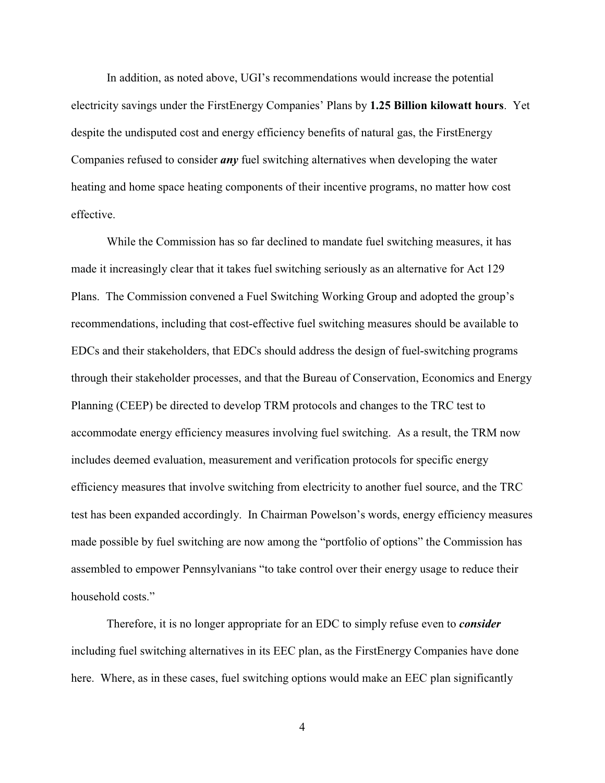In addition, as noted above, UGI's recommendations would increase the potential electricity savings under the FirstEnergy Companies' Plans by **1.25 Billion kilowatt hours**. Yet despite the undisputed cost and energy efficiency benefits of natural gas, the FirstEnergy Companies refused to consider *any* fuel switching alternatives when developing the water heating and home space heating components of their incentive programs, no matter how cost effective.

While the Commission has so far declined to mandate fuel switching measures, it has made it increasingly clear that it takes fuel switching seriously as an alternative for Act 129 Plans. The Commission convened a Fuel Switching Working Group and adopted the group's recommendations, including that cost-effective fuel switching measures should be available to EDCs and their stakeholders, that EDCs should address the design of fuel-switching programs through their stakeholder processes, and that the Bureau of Conservation, Economics and Energy Planning (CEEP) be directed to develop TRM protocols and changes to the TRC test to accommodate energy efficiency measures involving fuel switching. As a result, the TRM now includes deemed evaluation, measurement and verification protocols for specific energy efficiency measures that involve switching from electricity to another fuel source, and the TRC test has been expanded accordingly. In Chairman Powelson's words, energy efficiency measures made possible by fuel switching are now among the "portfolio of options" the Commission has assembled to empower Pennsylvanians "to take control over their energy usage to reduce their household costs."

Therefore, it is no longer appropriate for an EDC to simply refuse even to *consider* including fuel switching alternatives in its EEC plan, as the FirstEnergy Companies have done here. Where, as in these cases, fuel switching options would make an EEC plan significantly

4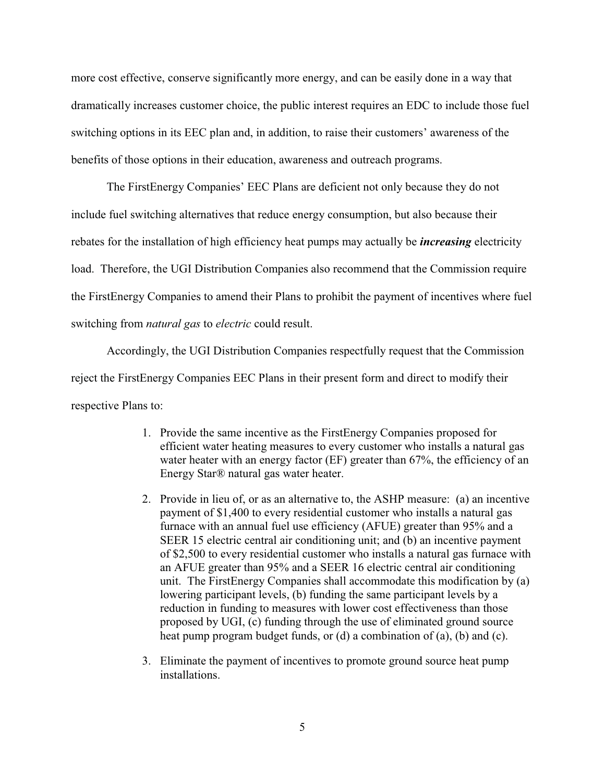more cost effective, conserve significantly more energy, and can be easily done in a way that dramatically increases customer choice, the public interest requires an EDC to include those fuel switching options in its EEC plan and, in addition, to raise their customers' awareness of the benefits of those options in their education, awareness and outreach programs.

The FirstEnergy Companies' EEC Plans are deficient not only because they do not include fuel switching alternatives that reduce energy consumption, but also because their rebates for the installation of high efficiency heat pumps may actually be *increasing* electricity load. Therefore, the UGI Distribution Companies also recommend that the Commission require the FirstEnergy Companies to amend their Plans to prohibit the payment of incentives where fuel switching from *natural gas* to *electric* could result.

Accordingly, the UGI Distribution Companies respectfully request that the Commission reject the FirstEnergy Companies EEC Plans in their present form and direct to modify their respective Plans to:

- 1. Provide the same incentive as the FirstEnergy Companies proposed for efficient water heating measures to every customer who installs a natural gas water heater with an energy factor  $(EF)$  greater than 67%, the efficiency of an Energy Star® natural gas water heater.
- 2. Provide in lieu of, or as an alternative to, the ASHP measure: (a) an incentive payment of \$1,400 to every residential customer who installs a natural gas furnace with an annual fuel use efficiency (AFUE) greater than 95% and a SEER 15 electric central air conditioning unit; and (b) an incentive payment of \$2,500 to every residential customer who installs a natural gas furnace with an AFUE greater than 95% and a SEER 16 electric central air conditioning unit. The FirstEnergy Companies shall accommodate this modification by (a) lowering participant levels, (b) funding the same participant levels by a reduction in funding to measures with lower cost effectiveness than those proposed by UGI, (c) funding through the use of eliminated ground source heat pump program budget funds, or (d) a combination of (a), (b) and (c).
- 3. Eliminate the payment of incentives to promote ground source heat pump installations.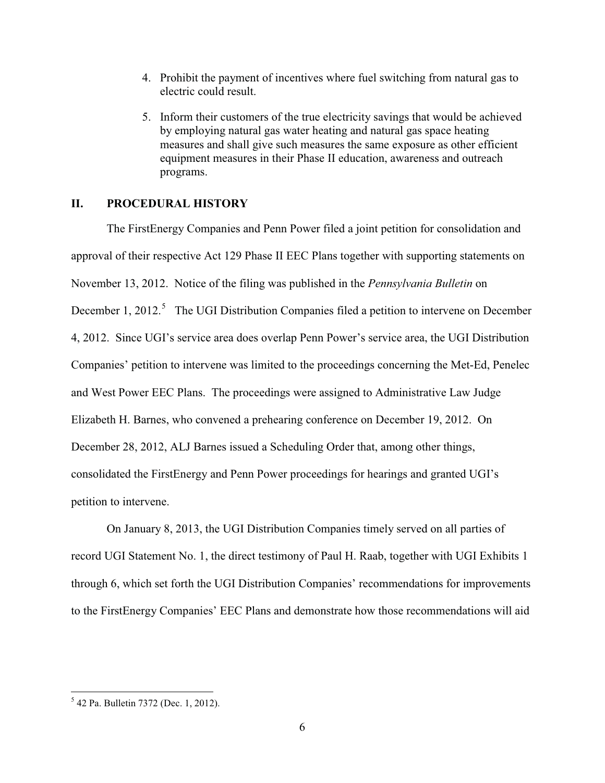- 4. Prohibit the payment of incentives where fuel switching from natural gas to electric could result.
- 5. Inform their customers of the true electricity savings that would be achieved by employing natural gas water heating and natural gas space heating measures and shall give such measures the same exposure as other efficient equipment measures in their Phase II education, awareness and outreach programs.

### **II. PROCEDURAL HISTORY**

The FirstEnergy Companies and Penn Power filed a joint petition for consolidation and approval of their respective Act 129 Phase II EEC Plans together with supporting statements on November 13, 2012. Notice of the filing was published in the *Pennsylvania Bulletin* on December 1, 2012.<sup>5</sup> The UGI Distribution Companies filed a petition to intervene on December 4, 2012. Since UGI's service area does overlap Penn Power's service area, the UGI Distribution Companies' petition to intervene was limited to the proceedings concerning the Met-Ed, Penelec and West Power EEC Plans. The proceedings were assigned to Administrative Law Judge Elizabeth H. Barnes, who convened a prehearing conference on December 19, 2012. On December 28, 2012, ALJ Barnes issued a Scheduling Order that, among other things, consolidated the FirstEnergy and Penn Power proceedings for hearings and granted UGI's petition to intervene.

On January 8, 2013, the UGI Distribution Companies timely served on all parties of record UGI Statement No. 1, the direct testimony of Paul H. Raab, together with UGI Exhibits 1 through 6, which set forth the UGI Distribution Companies' recommendations for improvements to the FirstEnergy Companies' EEC Plans and demonstrate how those recommendations will aid

<sup>5</sup> 42 Pa. Bulletin 7372 (Dec. 1, 2012).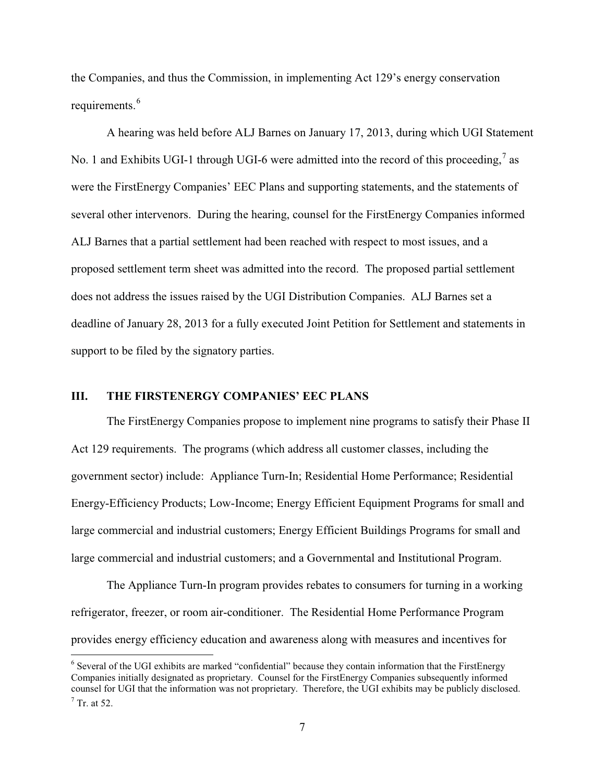the Companies, and thus the Commission, in implementing Act 129's energy conservation requirements.<sup>6</sup>

A hearing was held before ALJ Barnes on January 17, 2013, during which UGI Statement No. 1 and Exhibits UGI-1 through UGI-6 were admitted into the record of this proceeding,  $\frac{7}{1}$  as were the FirstEnergy Companies' EEC Plans and supporting statements, and the statements of several other intervenors. During the hearing, counsel for the FirstEnergy Companies informed ALJ Barnes that a partial settlement had been reached with respect to most issues, and a proposed settlement term sheet was admitted into the record. The proposed partial settlement does not address the issues raised by the UGI Distribution Companies. ALJ Barnes set a deadline of January 28, 2013 for a fully executed Joint Petition for Settlement and statements in support to be filed by the signatory parties.

#### **III. THE FIRSTENERGY COMPANIES' EEC PLANS**

The FirstEnergy Companies propose to implement nine programs to satisfy their Phase II Act 129 requirements. The programs (which address all customer classes, including the government sector) include: Appliance Turn-In; Residential Home Performance; Residential Energy-Efficiency Products; Low-Income; Energy Efficient Equipment Programs for small and large commercial and industrial customers; Energy Efficient Buildings Programs for small and large commercial and industrial customers; and a Governmental and Institutional Program.

The Appliance Turn-In program provides rebates to consumers for turning in a working refrigerator, freezer, or room air-conditioner. The Residential Home Performance Program provides energy efficiency education and awareness along with measures and incentives for

<sup>6</sup> Several of the UGI exhibits are marked "confidential" because they contain information that the FirstEnergy Companies initially designated as proprietary. Counsel for the FirstEnergy Companies subsequently informed counsel for UGI that the information was not proprietary. Therefore, the UGI exhibits may be publicly disclosed.  $<sup>7</sup>$  Tr. at 52.</sup>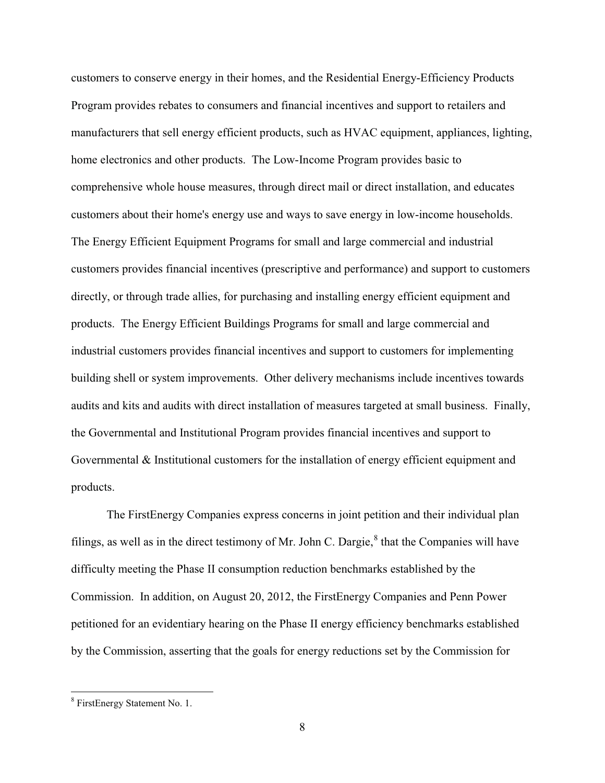customers to conserve energy in their homes, and the Residential Energy-Efficiency Products Program provides rebates to consumers and financial incentives and support to retailers and manufacturers that sell energy efficient products, such as HVAC equipment, appliances, lighting, home electronics and other products. The Low-Income Program provides basic to comprehensive whole house measures, through direct mail or direct installation, and educates customers about their home's energy use and ways to save energy in low-income households. The Energy Efficient Equipment Programs for small and large commercial and industrial customers provides financial incentives (prescriptive and performance) and support to customers directly, or through trade allies, for purchasing and installing energy efficient equipment and products. The Energy Efficient Buildings Programs for small and large commercial and industrial customers provides financial incentives and support to customers for implementing building shell or system improvements. Other delivery mechanisms include incentives towards audits and kits and audits with direct installation of measures targeted at small business. Finally, the Governmental and Institutional Program provides financial incentives and support to Governmental & Institutional customers for the installation of energy efficient equipment and products.

The FirstEnergy Companies express concerns in joint petition and their individual plan filings, as well as in the direct testimony of Mr. John C. Dargie, $\delta$  that the Companies will have difficulty meeting the Phase II consumption reduction benchmarks established by the Commission. In addition, on August 20, 2012, the FirstEnergy Companies and Penn Power petitioned for an evidentiary hearing on the Phase II energy efficiency benchmarks established by the Commission, asserting that the goals for energy reductions set by the Commission for

<sup>8</sup> FirstEnergy Statement No. 1.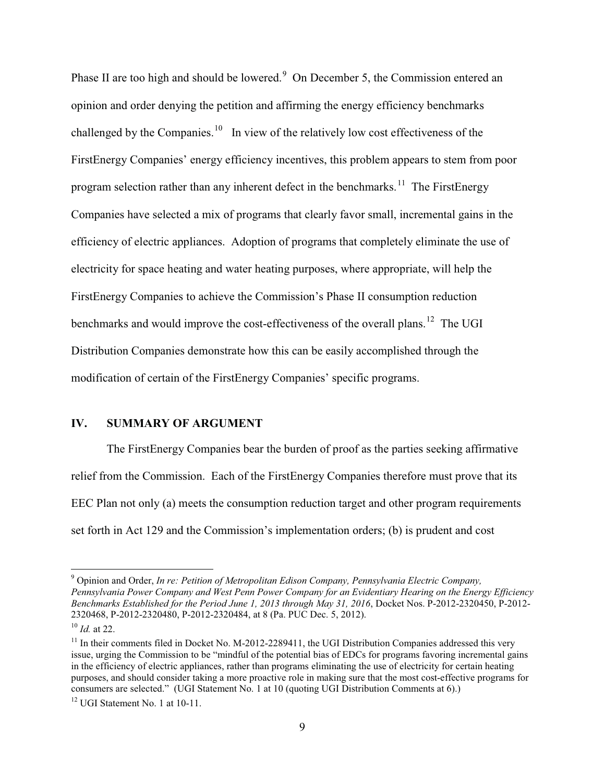Phase II are too high and should be lowered.<sup>9</sup> On December 5, the Commission entered an opinion and order denying the petition and affirming the energy efficiency benchmarks challenged by the Companies.<sup>10</sup> In view of the relatively low cost effectiveness of the FirstEnergy Companies' energy efficiency incentives, this problem appears to stem from poor program selection rather than any inherent defect in the benchmarks.<sup>11</sup> The FirstEnergy Companies have selected a mix of programs that clearly favor small, incremental gains in the efficiency of electric appliances. Adoption of programs that completely eliminate the use of electricity for space heating and water heating purposes, where appropriate, will help the FirstEnergy Companies to achieve the Commission's Phase II consumption reduction benchmarks and would improve the cost-effectiveness of the overall plans.<sup>12</sup> The UGI Distribution Companies demonstrate how this can be easily accomplished through the modification of certain of the FirstEnergy Companies' specific programs.

#### **IV. SUMMARY OF ARGUMENT**

The FirstEnergy Companies bear the burden of proof as the parties seeking affirmative relief from the Commission. Each of the FirstEnergy Companies therefore must prove that its EEC Plan not only (a) meets the consumption reduction target and other program requirements set forth in Act 129 and the Commission's implementation orders; (b) is prudent and cost

<sup>9</sup> Opinion and Order, *In re: Petition of Metropolitan Edison Company, Pennsylvania Electric Company, Pennsylvania Power Company and West Penn Power Company for an Evidentiary Hearing on the Energy Efficiency Benchmarks Established for the Period June 1, 2013 through May 31, 2016*, Docket Nos. P-2012-2320450, P-2012- 2320468, P-2012-2320480, P-2012-2320484, at 8 (Pa. PUC Dec. 5, 2012).

<sup>10</sup> *Id.* at 22.

<sup>&</sup>lt;sup>11</sup> In their comments filed in Docket No. M-2012-2289411, the UGI Distribution Companies addressed this very issue, urging the Commission to be "mindful of the potential bias of EDCs for programs favoring incremental gains in the efficiency of electric appliances, rather than programs eliminating the use of electricity for certain heating purposes, and should consider taking a more proactive role in making sure that the most cost-effective programs for consumers are selected." (UGI Statement No. 1 at 10 (quoting UGI Distribution Comments at 6).)

<sup>&</sup>lt;sup>12</sup> UGI Statement No. 1 at 10-11.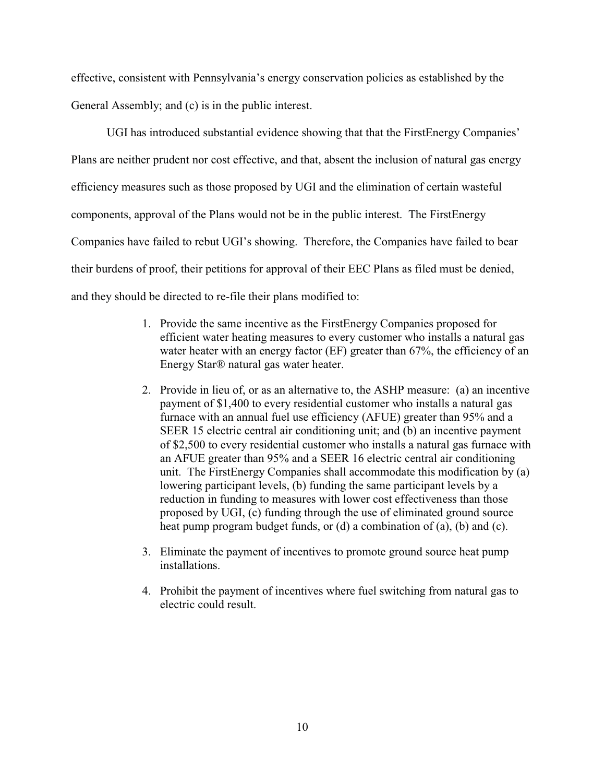effective, consistent with Pennsylvania's energy conservation policies as established by the General Assembly; and (c) is in the public interest.

UGI has introduced substantial evidence showing that that the FirstEnergy Companies' Plans are neither prudent nor cost effective, and that, absent the inclusion of natural gas energy efficiency measures such as those proposed by UGI and the elimination of certain wasteful components, approval of the Plans would not be in the public interest. The FirstEnergy Companies have failed to rebut UGI's showing. Therefore, the Companies have failed to bear their burdens of proof, their petitions for approval of their EEC Plans as filed must be denied, and they should be directed to re-file their plans modified to:

- 1. Provide the same incentive as the FirstEnergy Companies proposed for efficient water heating measures to every customer who installs a natural gas water heater with an energy factor (EF) greater than 67%, the efficiency of an Energy Star® natural gas water heater.
- 2. Provide in lieu of, or as an alternative to, the ASHP measure: (a) an incentive payment of \$1,400 to every residential customer who installs a natural gas furnace with an annual fuel use efficiency (AFUE) greater than 95% and a SEER 15 electric central air conditioning unit; and (b) an incentive payment of \$2,500 to every residential customer who installs a natural gas furnace with an AFUE greater than 95% and a SEER 16 electric central air conditioning unit. The FirstEnergy Companies shall accommodate this modification by (a) lowering participant levels, (b) funding the same participant levels by a reduction in funding to measures with lower cost effectiveness than those proposed by UGI, (c) funding through the use of eliminated ground source heat pump program budget funds, or (d) a combination of (a), (b) and (c).
- 3. Eliminate the payment of incentives to promote ground source heat pump installations.
- 4. Prohibit the payment of incentives where fuel switching from natural gas to electric could result.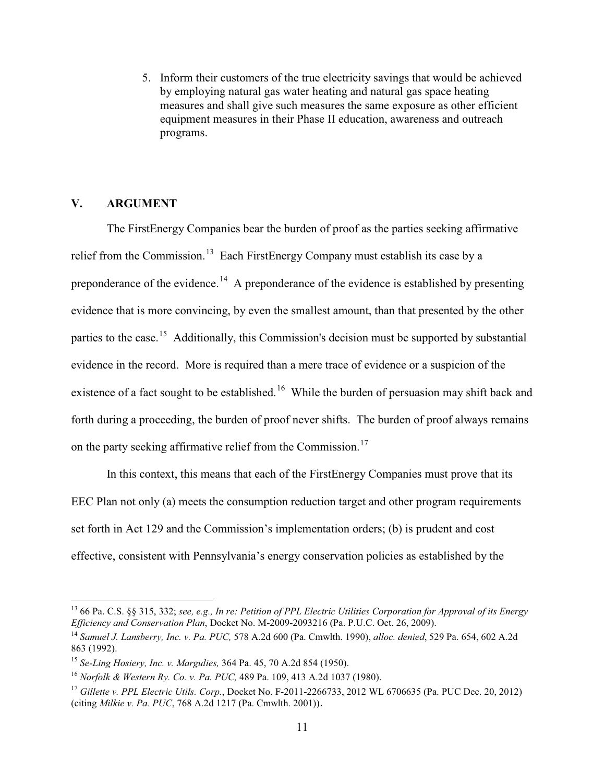5. Inform their customers of the true electricity savings that would be achieved by employing natural gas water heating and natural gas space heating measures and shall give such measures the same exposure as other efficient equipment measures in their Phase II education, awareness and outreach programs.

## **V. ARGUMENT**

The FirstEnergy Companies bear the burden of proof as the parties seeking affirmative relief from the Commission.<sup>13</sup> Each FirstEnergy Company must establish its case by a preponderance of the evidence.<sup>14</sup> A preponderance of the evidence is established by presenting evidence that is more convincing, by even the smallest amount, than that presented by the other parties to the case.<sup>15</sup> Additionally, this Commission's decision must be supported by substantial evidence in the record. More is required than a mere trace of evidence or a suspicion of the existence of a fact sought to be established.<sup>16</sup> While the burden of persuasion may shift back and forth during a proceeding, the burden of proof never shifts. The burden of proof always remains on the party seeking affirmative relief from the Commission.<sup>17</sup>

In this context, this means that each of the FirstEnergy Companies must prove that its EEC Plan not only (a) meets the consumption reduction target and other program requirements set forth in Act 129 and the Commission's implementation orders; (b) is prudent and cost effective, consistent with Pennsylvania's energy conservation policies as established by the

<sup>13</sup> 66 Pa. C.S. §§ 315, 332; *see, e.g., In re: Petition of PPL Electric Utilities Corporation for Approval of its Energy Efficiency and Conservation Plan*, Docket No. M-2009-2093216 (Pa. P.U.C. Oct. 26, 2009).

<sup>14</sup> *Samuel J. Lansberry, Inc. v. Pa. PUC,* 578 A.2d 600 (Pa. Cmwlth. 1990), *alloc. denied*, 529 Pa. 654, 602 A.2d 863 (1992).

<sup>15</sup> *Se-Ling Hosiery, Inc. v. Margulies,* 364 Pa. 45, 70 A.2d 854 (1950).

<sup>16</sup> *Norfolk & Western Ry. Co. v. Pa. PUC,* 489 Pa. 109, 413 A.2d 1037 (1980).

<sup>17</sup> *Gillette v. PPL Electric Utils. Corp.*, Docket No. F-2011-2266733, 2012 WL 6706635 (Pa. PUC Dec. 20, 2012) (citing *Milkie v. Pa. PUC*, 768 A.2d 1217 (Pa. Cmwlth. 2001)).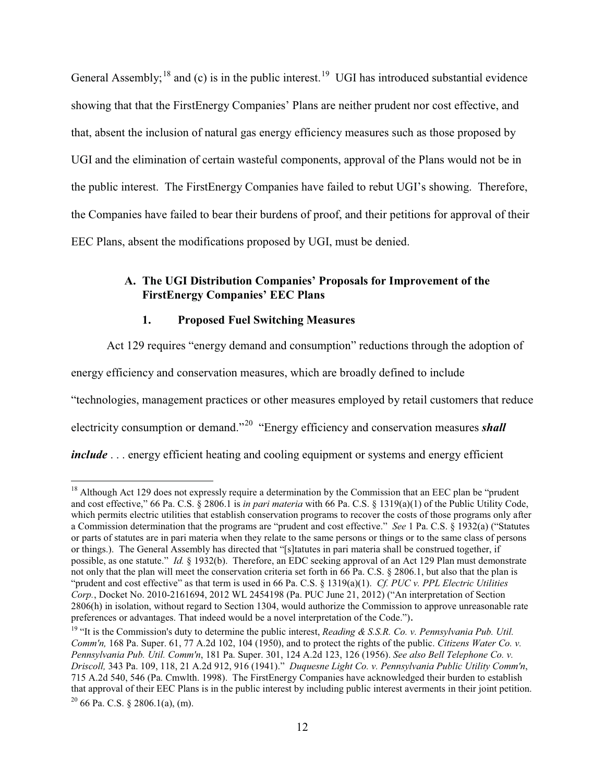General Assembly;<sup>18</sup> and (c) is in the public interest.<sup>19</sup> UGI has introduced substantial evidence showing that that the FirstEnergy Companies' Plans are neither prudent nor cost effective, and that, absent the inclusion of natural gas energy efficiency measures such as those proposed by UGI and the elimination of certain wasteful components, approval of the Plans would not be in the public interest. The FirstEnergy Companies have failed to rebut UGI's showing. Therefore, the Companies have failed to bear their burdens of proof, and their petitions for approval of their EEC Plans, absent the modifications proposed by UGI, must be denied.

# **A. The UGI Distribution Companies' Proposals for Improvement of the FirstEnergy Companies' EEC Plans**

## **1. Proposed Fuel Switching Measures**

Act 129 requires "energy demand and consumption" reductions through the adoption of energy efficiency and conservation measures, which are broadly defined to include "technologies, management practices or other measures employed by retail customers that reduce electricity consumption or demand."<sup>20</sup> "Energy efficiency and conservation measures *shall include* . . . energy efficient heating and cooling equipment or systems and energy efficient

<sup>&</sup>lt;sup>18</sup> Although Act 129 does not expressly require a determination by the Commission that an EEC plan be "prudent" and cost effective," 66 Pa. C.S. § 2806.1 is *in pari materia* with 66 Pa. C.S. § 1319(a)(1) of the Public Utility Code, which permits electric utilities that establish conservation programs to recover the costs of those programs only after a Commission determination that the programs are "prudent and cost effective." *See* 1 Pa. C.S. § 1932(a) ("Statutes or parts of statutes are in pari materia when they relate to the same persons or things or to the same class of persons or things.). The General Assembly has directed that "[s]tatutes in pari materia shall be construed together, if possible, as one statute." *Id.* § 1932(b). Therefore, an EDC seeking approval of an Act 129 Plan must demonstrate not only that the plan will meet the conservation criteria set forth in 66 Pa. C.S. § 2806.1, but also that the plan is "prudent and cost effective" as that term is used in 66 Pa. C.S. § 1319(a)(1). *Cf. PUC v. PPL Electric Utilities Corp.*, Docket No. 2010-2161694, 2012 WL 2454198 (Pa. PUC June 21, 2012) ("An interpretation of Section 2806(h) in isolation, without regard to Section 1304, would authorize the Commission to approve unreasonable rate preferences or advantages. That indeed would be a novel interpretation of the Code.").

<sup>&</sup>lt;sup>19</sup> "It is the Commission's duty to determine the public interest, *Reading & S.S.R. Co. v. Pennsylvania Pub. Util. Comm'n,* 168 Pa. Super. 61, 77 A.2d 102, 104 (1950), and to protect the rights of the public. *Citizens Water Co. v. Pennsylvania Pub. Util. Comm'n*, 181 Pa. Super. 301, 124 A.2d 123, 126 (1956). *See also Bell Telephone Co. v. Driscoll,* 343 Pa. 109, 118, 21 A.2d 912, 916 (1941)." *Duquesne Light Co. v. Pennsylvania Public Utility Comm'n*, 715 A.2d 540, 546 (Pa. Cmwlth. 1998). The FirstEnergy Companies have acknowledged their burden to establish that approval of their EEC Plans is in the public interest by including public interest averments in their joint petition.  $20\,66$  Pa. C.S. § 2806.1(a), (m).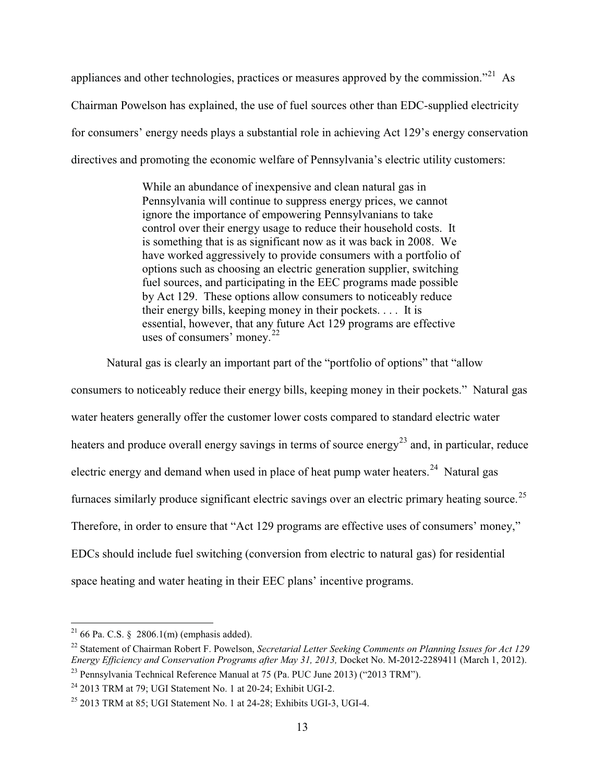appliances and other technologies, practices or measures approved by the commission."<sup>21</sup> As Chairman Powelson has explained, the use of fuel sources other than EDC-supplied electricity for consumers' energy needs plays a substantial role in achieving Act 129's energy conservation directives and promoting the economic welfare of Pennsylvania's electric utility customers:

> While an abundance of inexpensive and clean natural gas in Pennsylvania will continue to suppress energy prices, we cannot ignore the importance of empowering Pennsylvanians to take control over their energy usage to reduce their household costs. It is something that is as significant now as it was back in 2008. We have worked aggressively to provide consumers with a portfolio of options such as choosing an electric generation supplier, switching fuel sources, and participating in the EEC programs made possible by Act 129. These options allow consumers to noticeably reduce their energy bills, keeping money in their pockets. . . . It is essential, however, that any future Act 129 programs are effective uses of consumers' money. $^{22}$

Natural gas is clearly an important part of the "portfolio of options" that "allow consumers to noticeably reduce their energy bills, keeping money in their pockets." Natural gas water heaters generally offer the customer lower costs compared to standard electric water heaters and produce overall energy savings in terms of source energy<sup>23</sup> and, in particular, reduce electric energy and demand when used in place of heat pump water heaters.<sup>24</sup> Natural gas furnaces similarly produce significant electric savings over an electric primary heating source.<sup>25</sup> Therefore, in order to ensure that "Act 129 programs are effective uses of consumers' money," EDCs should include fuel switching (conversion from electric to natural gas) for residential space heating and water heating in their EEC plans' incentive programs.

<sup>&</sup>lt;sup>21</sup> 66 Pa. C.S. § 2806.1(m) (emphasis added).

<sup>&</sup>lt;sup>22</sup> Statement of Chairman Robert F. Powelson, *Secretarial Letter Seeking Comments on Planning Issues for Act 129 Energy Efficiency and Conservation Programs after May 31, 2013,* Docket No. M-2012-2289411 (March 1, 2012).

<sup>23</sup> Pennsylvania Technical Reference Manual at 75 (Pa. PUC June 2013) ("2013 TRM").

 $24$  2013 TRM at 79; UGI Statement No. 1 at 20-24; Exhibit UGI-2.

 $25$  2013 TRM at 85; UGI Statement No. 1 at 24-28; Exhibits UGI-3, UGI-4.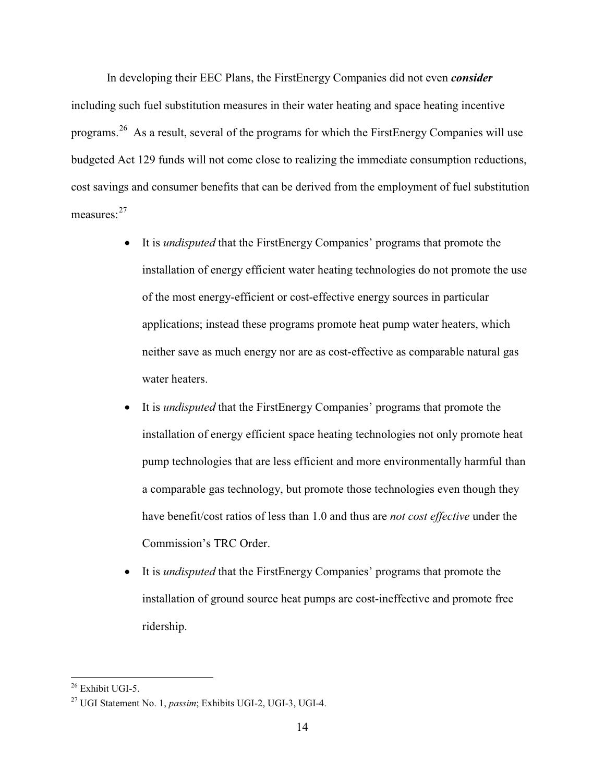In developing their EEC Plans, the FirstEnergy Companies did not even *consider* including such fuel substitution measures in their water heating and space heating incentive programs.<sup>26</sup> As a result, several of the programs for which the FirstEnergy Companies will use budgeted Act 129 funds will not come close to realizing the immediate consumption reductions, cost savings and consumer benefits that can be derived from the employment of fuel substitution measures: $27$ 

- It is *undisputed* that the FirstEnergy Companies' programs that promote the installation of energy efficient water heating technologies do not promote the use of the most energy-efficient or cost-effective energy sources in particular applications; instead these programs promote heat pump water heaters, which neither save as much energy nor are as cost-effective as comparable natural gas water heaters.
- It is *undisputed* that the FirstEnergy Companies' programs that promote the installation of energy efficient space heating technologies not only promote heat pump technologies that are less efficient and more environmentally harmful than a comparable gas technology, but promote those technologies even though they have benefit/cost ratios of less than 1.0 and thus are *not cost effective* under the Commission's TRC Order.
- $\bullet$  It is *undisputed* that the FirstEnergy Companies' programs that promote the installation of ground source heat pumps are cost-ineffective and promote free ridership.

 $26$  Exhibit UGI-5.

<sup>27</sup> UGI Statement No. 1, *passim*; Exhibits UGI-2, UGI-3, UGI-4.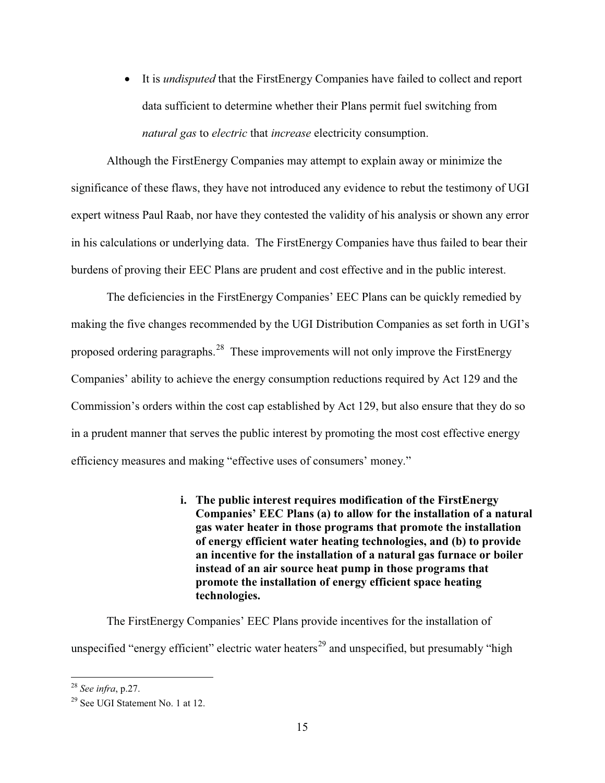- It is *undisputed* that the FirstEnergy Companies have failed to collect and report data sufficient to determine whether their Plans permit fuel switching from *natural gas* to *electric* that *increase* electricity consumption.

Although the FirstEnergy Companies may attempt to explain away or minimize the significance of these flaws, they have not introduced any evidence to rebut the testimony of UGI expert witness Paul Raab, nor have they contested the validity of his analysis or shown any error in his calculations or underlying data. The FirstEnergy Companies have thus failed to bear their burdens of proving their EEC Plans are prudent and cost effective and in the public interest.

The deficiencies in the FirstEnergy Companies' EEC Plans can be quickly remedied by making the five changes recommended by the UGI Distribution Companies as set forth in UGI's proposed ordering paragraphs.<sup>28</sup> These improvements will not only improve the FirstEnergy Companies' ability to achieve the energy consumption reductions required by Act 129 and the Commission's orders within the cost cap established by Act 129, but also ensure that they do so in a prudent manner that serves the public interest by promoting the most cost effective energy efficiency measures and making "effective uses of consumers' money."

> **i. The public interest requires modification of the FirstEnergy Companies' EEC Plans (a) to allow for the installation of a natural gas water heater in those programs that promote the installation of energy efficient water heating technologies, and (b) to provide an incentive for the installation of a natural gas furnace or boiler instead of an air source heat pump in those programs that promote the installation of energy efficient space heating technologies.**

The FirstEnergy Companies' EEC Plans provide incentives for the installation of unspecified "energy efficient" electric water heaters<sup>29</sup> and unspecified, but presumably "high

<sup>28</sup> *See infra*, p.27.

<sup>&</sup>lt;sup>29</sup> See UGI Statement No. 1 at 12.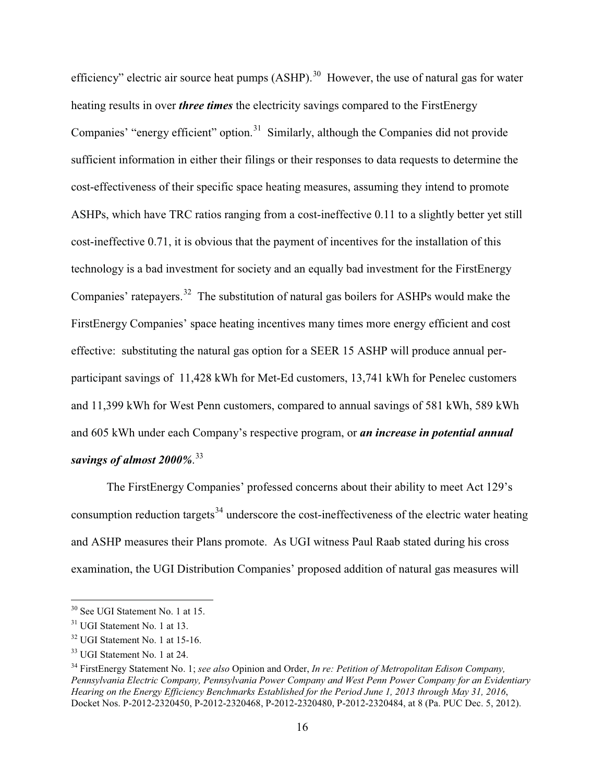efficiency" electric air source heat pumps  $(ASHP)$ .<sup>30</sup> However, the use of natural gas for water heating results in over *three times* the electricity savings compared to the FirstEnergy Companies' "energy efficient" option.<sup>31</sup> Similarly, although the Companies did not provide sufficient information in either their filings or their responses to data requests to determine the cost-effectiveness of their specific space heating measures, assuming they intend to promote ASHPs, which have TRC ratios ranging from a cost-ineffective 0.11 to a slightly better yet still cost-ineffective 0.71, it is obvious that the payment of incentives for the installation of this technology is a bad investment for society and an equally bad investment for the FirstEnergy Companies' ratepayers.<sup>32</sup> The substitution of natural gas boilers for ASHPs would make the FirstEnergy Companies' space heating incentives many times more energy efficient and cost effective: substituting the natural gas option for a SEER 15 ASHP will produce annual perparticipant savings of 11,428 kWh for Met-Ed customers, 13,741 kWh for Penelec customers and 11,399 kWh for West Penn customers, compared to annual savings of 581 kWh, 589 kWh and 605 kWh under each Company's respective program, or *an increase in potential annual savings of almost 2000%*. 33

The FirstEnergy Companies' professed concerns about their ability to meet Act 129's consumption reduction targets<sup>34</sup> underscore the cost-ineffectiveness of the electric water heating and ASHP measures their Plans promote. As UGI witness Paul Raab stated during his cross examination, the UGI Distribution Companies' proposed addition of natural gas measures will

<sup>30</sup> See UGI Statement No. 1 at 15.

<sup>&</sup>lt;sup>31</sup> UGI Statement No. 1 at 13.

<sup>32</sup> UGI Statement No. 1 at 15-16.

<sup>33</sup> UGI Statement No. 1 at 24.

<sup>34</sup> FirstEnergy Statement No. 1; *see also* Opinion and Order, *In re: Petition of Metropolitan Edison Company, Pennsylvania Electric Company, Pennsylvania Power Company and West Penn Power Company for an Evidentiary Hearing on the Energy Efficiency Benchmarks Established for the Period June 1, 2013 through May 31, 2016*, Docket Nos. P-2012-2320450, P-2012-2320468, P-2012-2320480, P-2012-2320484, at 8 (Pa. PUC Dec. 5, 2012).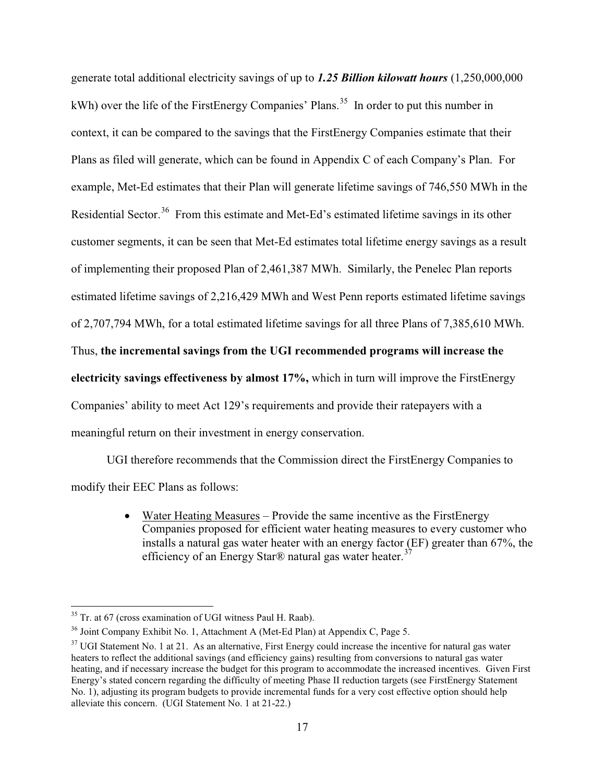generate total additional electricity savings of up to *1.25 Billion kilowatt hours* (1,250,000,000 kWh) over the life of the FirstEnergy Companies' Plans.<sup>35</sup> In order to put this number in context, it can be compared to the savings that the FirstEnergy Companies estimate that their Plans as filed will generate, which can be found in Appendix C of each Company's Plan. For example, Met-Ed estimates that their Plan will generate lifetime savings of 746,550 MWh in the Residential Sector.<sup>36</sup> From this estimate and Met-Ed's estimated lifetime savings in its other customer segments, it can be seen that Met-Ed estimates total lifetime energy savings as a result of implementing their proposed Plan of 2,461,387 MWh. Similarly, the Penelec Plan reports estimated lifetime savings of 2,216,429 MWh and West Penn reports estimated lifetime savings of 2,707,794 MWh, for a total estimated lifetime savings for all three Plans of 7,385,610 MWh. Thus, **the incremental savings from the UGI recommended programs will increase the electricity savings effectiveness by almost 17%,** which in turn will improve the FirstEnergy Companies' ability to meet Act 129's requirements and provide their ratepayers with a meaningful return on their investment in energy conservation.

UGI therefore recommends that the Commission direct the FirstEnergy Companies to modify their EEC Plans as follows:

> • Water Heating Measures - Provide the same incentive as the FirstEnergy Companies proposed for efficient water heating measures to every customer who installs a natural gas water heater with an energy factor (EF) greater than 67%, the efficiency of an Energy Star® natural gas water heater.<sup>37</sup>

 $35$  Tr. at 67 (cross examination of UGI witness Paul H. Raab).

<sup>&</sup>lt;sup>36</sup> Joint Company Exhibit No. 1, Attachment A (Met-Ed Plan) at Appendix C, Page 5.

<sup>&</sup>lt;sup>37</sup> UGI Statement No. 1 at 21. As an alternative, First Energy could increase the incentive for natural gas water heaters to reflect the additional savings (and efficiency gains) resulting from conversions to natural gas water heating, and if necessary increase the budget for this program to accommodate the increased incentives. Given First Energy's stated concern regarding the difficulty of meeting Phase II reduction targets (see FirstEnergy Statement No. 1), adjusting its program budgets to provide incremental funds for a very cost effective option should help alleviate this concern. (UGI Statement No. 1 at 21-22.)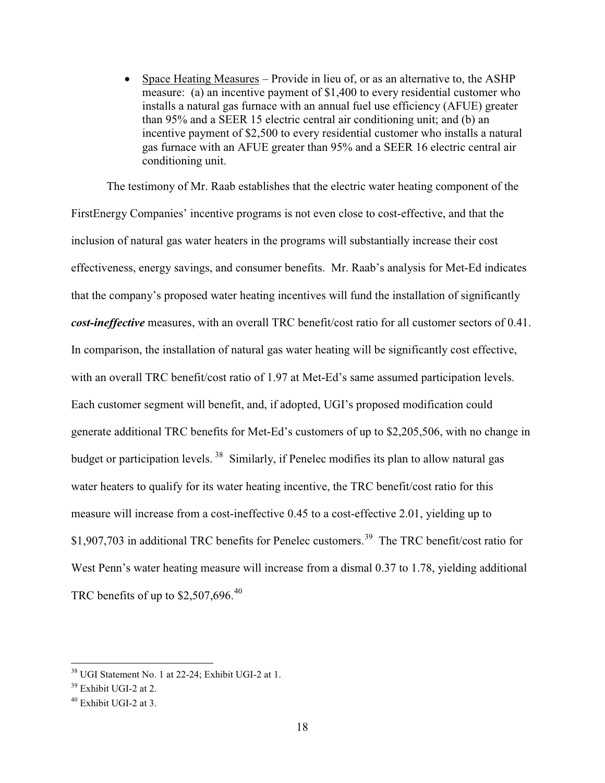$\bullet$  Space Heating Measures – Provide in lieu of, or as an alternative to, the ASHP measure: (a) an incentive payment of \$1,400 to every residential customer who installs a natural gas furnace with an annual fuel use efficiency (AFUE) greater than 95% and a SEER 15 electric central air conditioning unit; and (b) an incentive payment of \$2,500 to every residential customer who installs a natural gas furnace with an AFUE greater than 95% and a SEER 16 electric central air conditioning unit.

The testimony of Mr. Raab establishes that the electric water heating component of the FirstEnergy Companies' incentive programs is not even close to cost-effective, and that the inclusion of natural gas water heaters in the programs will substantially increase their cost effectiveness, energy savings, and consumer benefits. Mr. Raab's analysis for Met-Ed indicates that the company's proposed water heating incentives will fund the installation of significantly *cost-ineffective* measures, with an overall TRC benefit/cost ratio for all customer sectors of 0.41. In comparison, the installation of natural gas water heating will be significantly cost effective, with an overall TRC benefit/cost ratio of 1.97 at Met-Ed's same assumed participation levels. Each customer segment will benefit, and, if adopted, UGI's proposed modification could generate additional TRC benefits for Met-Ed's customers of up to \$2,205,506, with no change in budget or participation levels.<sup>38</sup> Similarly, if Penelec modifies its plan to allow natural gas water heaters to qualify for its water heating incentive, the TRC benefit/cost ratio for this measure will increase from a cost-ineffective 0.45 to a cost-effective 2.01, yielding up to \$1,907,703 in additional TRC benefits for Penelec customers.<sup>39</sup> The TRC benefit/cost ratio for West Penn's water heating measure will increase from a dismal 0.37 to 1.78, yielding additional TRC benefits of up to  $$2,507,696.<sup>40</sup>$ 

<sup>38</sup> UGI Statement No. 1 at 22-24; Exhibit UGI-2 at 1.

 $39$  Exhibit UGI-2 at 2.

<sup>&</sup>lt;sup>40</sup> Exhibit UGI-2 at 3.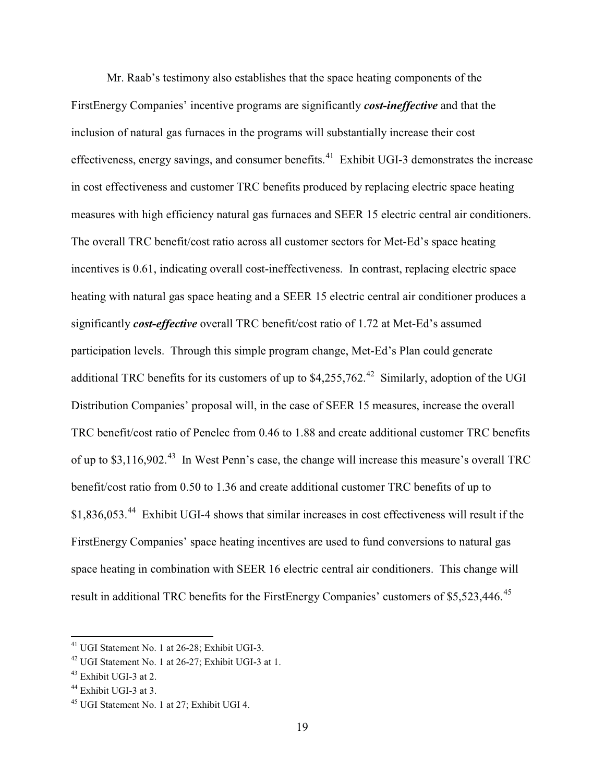Mr. Raab's testimony also establishes that the space heating components of the FirstEnergy Companies' incentive programs are significantly *cost-ineffective* and that the inclusion of natural gas furnaces in the programs will substantially increase their cost effectiveness, energy savings, and consumer benefits.<sup>41</sup> Exhibit UGI-3 demonstrates the increase in cost effectiveness and customer TRC benefits produced by replacing electric space heating measures with high efficiency natural gas furnaces and SEER 15 electric central air conditioners. The overall TRC benefit/cost ratio across all customer sectors for Met-Ed's space heating incentives is 0.61, indicating overall cost-ineffectiveness. In contrast, replacing electric space heating with natural gas space heating and a SEER 15 electric central air conditioner produces a significantly *cost-effective* overall TRC benefit/cost ratio of 1.72 at Met-Ed's assumed participation levels. Through this simple program change, Met-Ed's Plan could generate additional TRC benefits for its customers of up to  $$4,255,762<sup>42</sup>$  Similarly, adoption of the UGI Distribution Companies' proposal will, in the case of SEER 15 measures, increase the overall TRC benefit/cost ratio of Penelec from 0.46 to 1.88 and create additional customer TRC benefits of up to \$3,116,902<sup>43</sup> In West Penn's case, the change will increase this measure's overall TRC benefit/cost ratio from 0.50 to 1.36 and create additional customer TRC benefits of up to \$1,836,053.<sup>44</sup> Exhibit UGI-4 shows that similar increases in cost effectiveness will result if the FirstEnergy Companies' space heating incentives are used to fund conversions to natural gas space heating in combination with SEER 16 electric central air conditioners. This change will result in additional TRC benefits for the FirstEnergy Companies' customers of \$5,523,446.<sup>45</sup>

<sup>&</sup>lt;sup>41</sup> UGI Statement No. 1 at 26-28; Exhibit UGI-3.

 $42$  UGI Statement No. 1 at 26-27; Exhibit UGI-3 at 1.

<sup>&</sup>lt;sup>43</sup> Exhibit UGI-3 at 2.

<sup>&</sup>lt;sup>44</sup> Exhibit UGI-3 at 3.

<sup>&</sup>lt;sup>45</sup> UGI Statement No. 1 at 27; Exhibit UGI 4.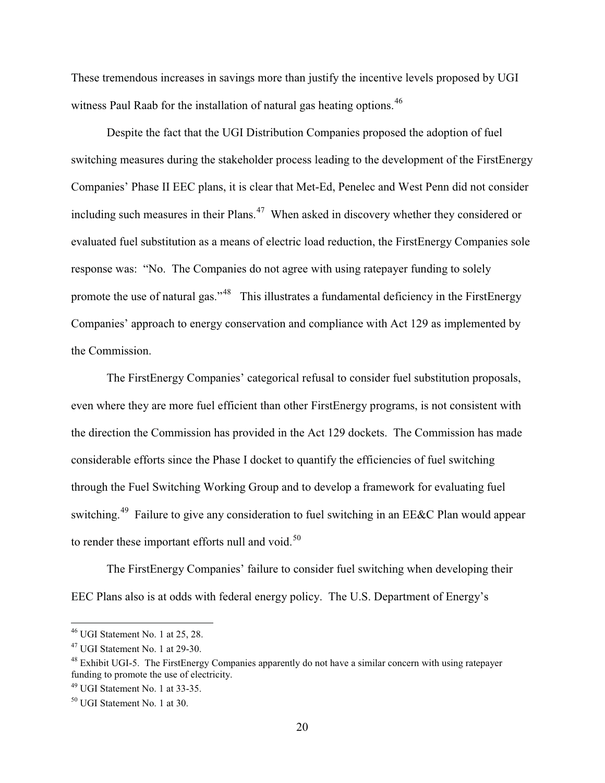These tremendous increases in savings more than justify the incentive levels proposed by UGI witness Paul Raab for the installation of natural gas heating options.<sup>46</sup>

Despite the fact that the UGI Distribution Companies proposed the adoption of fuel switching measures during the stakeholder process leading to the development of the FirstEnergy Companies' Phase II EEC plans, it is clear that Met-Ed, Penelec and West Penn did not consider including such measures in their Plans.<sup>47</sup> When asked in discovery whether they considered or evaluated fuel substitution as a means of electric load reduction, the FirstEnergy Companies sole response was: "No. The Companies do not agree with using ratepayer funding to solely promote the use of natural gas."<sup>48</sup> This illustrates a fundamental deficiency in the FirstEnergy Companies' approach to energy conservation and compliance with Act 129 as implemented by the Commission.

The FirstEnergy Companies' categorical refusal to consider fuel substitution proposals, even where they are more fuel efficient than other FirstEnergy programs, is not consistent with the direction the Commission has provided in the Act 129 dockets. The Commission has made considerable efforts since the Phase I docket to quantify the efficiencies of fuel switching through the Fuel Switching Working Group and to develop a framework for evaluating fuel switching.<sup>49</sup> Failure to give any consideration to fuel switching in an EE&C Plan would appear to render these important efforts null and void. $50$ 

The FirstEnergy Companies' failure to consider fuel switching when developing their EEC Plans also is at odds with federal energy policy. The U.S. Department of Energy's

 $46$  UGI Statement No. 1 at 25, 28.

<sup>47</sup> UGI Statement No. 1 at 29-30.

 $48$  Exhibit UGI-5. The First Energy Companies apparently do not have a similar concern with using ratepayer funding to promote the use of electricity.

 $49$  UGI Statement No. 1 at 33-35.

<sup>50</sup> UGI Statement No. 1 at 30.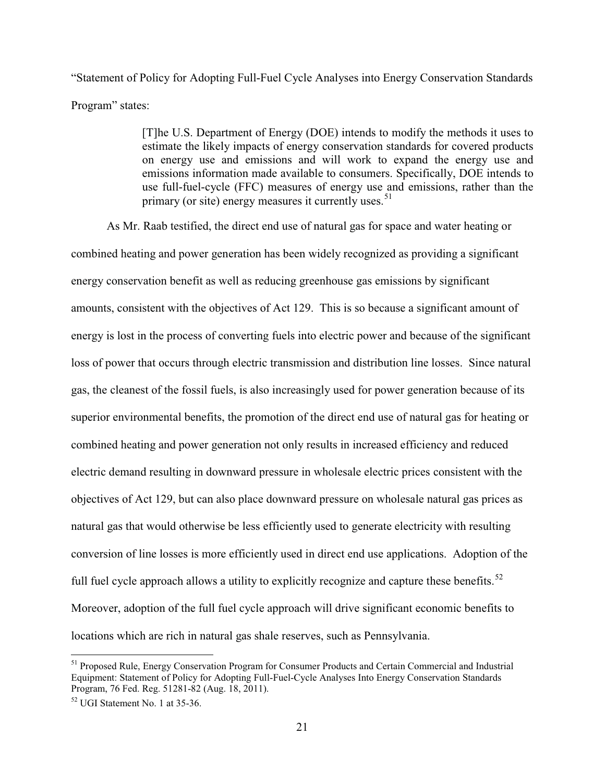"Statement of Policy for Adopting Full-Fuel Cycle Analyses into Energy Conservation Standards Program" states:

> [T]he U.S. Department of Energy (DOE) intends to modify the methods it uses to estimate the likely impacts of energy conservation standards for covered products on energy use and emissions and will work to expand the energy use and emissions information made available to consumers. Specifically, DOE intends to use full-fuel-cycle (FFC) measures of energy use and emissions, rather than the primary (or site) energy measures it currently uses.<sup>51</sup>

As Mr. Raab testified, the direct end use of natural gas for space and water heating or combined heating and power generation has been widely recognized as providing a significant energy conservation benefit as well as reducing greenhouse gas emissions by significant amounts, consistent with the objectives of Act 129. This is so because a significant amount of energy is lost in the process of converting fuels into electric power and because of the significant loss of power that occurs through electric transmission and distribution line losses. Since natural gas, the cleanest of the fossil fuels, is also increasingly used for power generation because of its superior environmental benefits, the promotion of the direct end use of natural gas for heating or combined heating and power generation not only results in increased efficiency and reduced electric demand resulting in downward pressure in wholesale electric prices consistent with the objectives of Act 129, but can also place downward pressure on wholesale natural gas prices as natural gas that would otherwise be less efficiently used to generate electricity with resulting conversion of line losses is more efficiently used in direct end use applications. Adoption of the full fuel cycle approach allows a utility to explicitly recognize and capture these benefits.<sup>52</sup> Moreover, adoption of the full fuel cycle approach will drive significant economic benefits to locations which are rich in natural gas shale reserves, such as Pennsylvania.

<sup>51</sup> Proposed Rule, Energy Conservation Program for Consumer Products and Certain Commercial and Industrial Equipment: Statement of Policy for Adopting Full-Fuel-Cycle Analyses Into Energy Conservation Standards Program, 76 Fed. Reg. 51281-82 (Aug. 18, 2011).

<sup>52</sup> UGI Statement No. 1 at 35-36.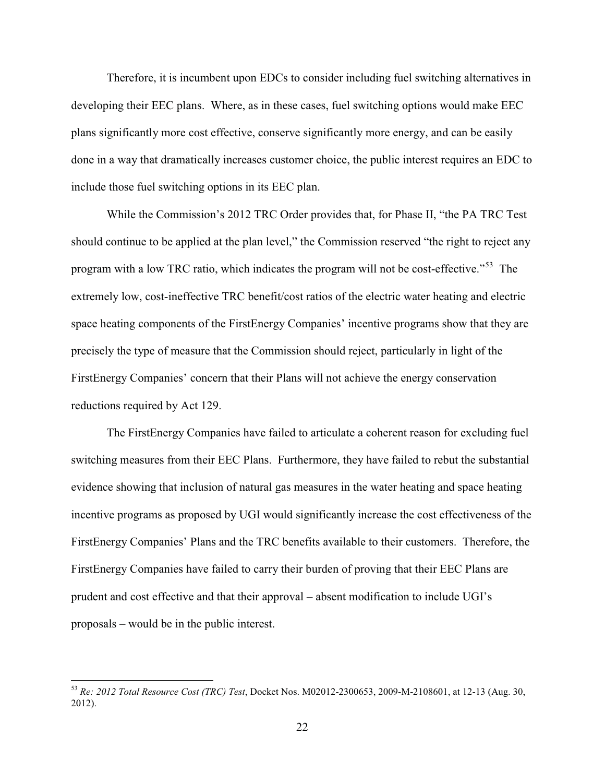Therefore, it is incumbent upon EDCs to consider including fuel switching alternatives in developing their EEC plans. Where, as in these cases, fuel switching options would make EEC plans significantly more cost effective, conserve significantly more energy, and can be easily done in a way that dramatically increases customer choice, the public interest requires an EDC to include those fuel switching options in its EEC plan.

While the Commission's 2012 TRC Order provides that, for Phase II, "the PA TRC Test should continue to be applied at the plan level," the Commission reserved "the right to reject any program with a low TRC ratio, which indicates the program will not be cost-effective."<sup>53</sup> The extremely low, cost-ineffective TRC benefit/cost ratios of the electric water heating and electric space heating components of the FirstEnergy Companies' incentive programs show that they are precisely the type of measure that the Commission should reject, particularly in light of the FirstEnergy Companies' concern that their Plans will not achieve the energy conservation reductions required by Act 129.

The FirstEnergy Companies have failed to articulate a coherent reason for excluding fuel switching measures from their EEC Plans. Furthermore, they have failed to rebut the substantial evidence showing that inclusion of natural gas measures in the water heating and space heating incentive programs as proposed by UGI would significantly increase the cost effectiveness of the FirstEnergy Companies' Plans and the TRC benefits available to their customers. Therefore, the FirstEnergy Companies have failed to carry their burden of proving that their EEC Plans are prudent and cost effective and that their approval – absent modification to include UGI's proposals – would be in the public interest.

<sup>53</sup> *Re: 2012 Total Resource Cost (TRC) Test*, Docket Nos. M02012-2300653, 2009-M-2108601, at 12-13 (Aug. 30, 2012).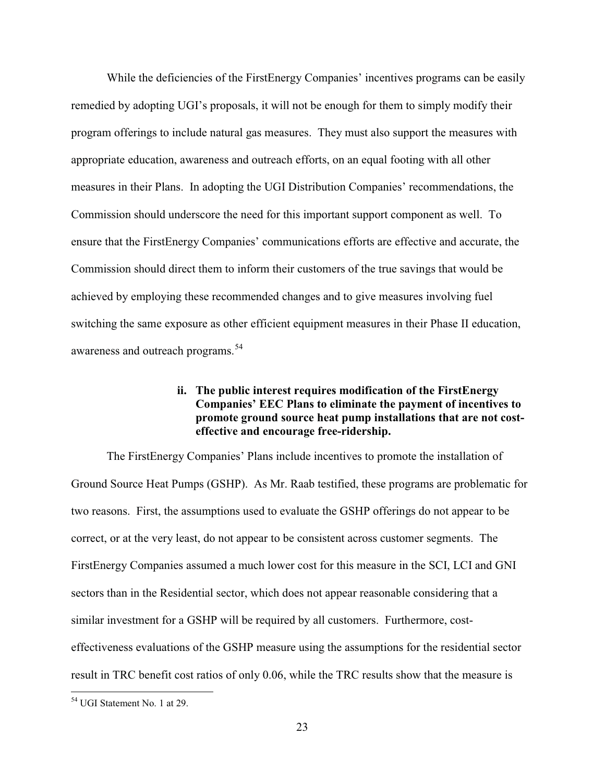While the deficiencies of the FirstEnergy Companies' incentives programs can be easily remedied by adopting UGI's proposals, it will not be enough for them to simply modify their program offerings to include natural gas measures. They must also support the measures with appropriate education, awareness and outreach efforts, on an equal footing with all other measures in their Plans. In adopting the UGI Distribution Companies' recommendations, the Commission should underscore the need for this important support component as well. To ensure that the FirstEnergy Companies' communications efforts are effective and accurate, the Commission should direct them to inform their customers of the true savings that would be achieved by employing these recommended changes and to give measures involving fuel switching the same exposure as other efficient equipment measures in their Phase II education, awareness and outreach programs.<sup>54</sup>

### **ii. The public interest requires modification of the FirstEnergy Companies' EEC Plans to eliminate the payment of incentives to promote ground source heat pump installations that are not costeffective and encourage free-ridership.**

The FirstEnergy Companies' Plans include incentives to promote the installation of Ground Source Heat Pumps (GSHP). As Mr. Raab testified, these programs are problematic for two reasons. First, the assumptions used to evaluate the GSHP offerings do not appear to be correct, or at the very least, do not appear to be consistent across customer segments. The FirstEnergy Companies assumed a much lower cost for this measure in the SCI, LCI and GNI sectors than in the Residential sector, which does not appear reasonable considering that a similar investment for a GSHP will be required by all customers. Furthermore, costeffectiveness evaluations of the GSHP measure using the assumptions for the residential sector result in TRC benefit cost ratios of only 0.06, while the TRC results show that the measure is

<sup>54</sup> UGI Statement No. 1 at 29.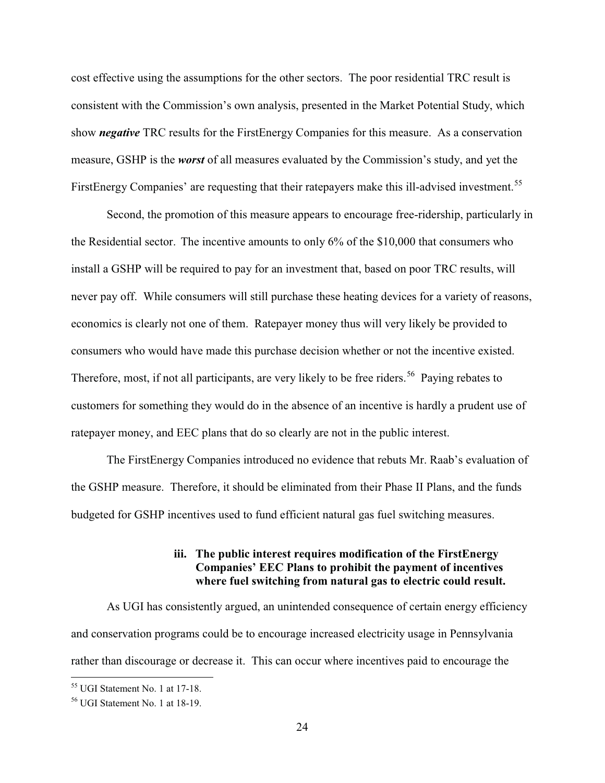cost effective using the assumptions for the other sectors. The poor residential TRC result is consistent with the Commission's own analysis, presented in the Market Potential Study, which show *negative* TRC results for the FirstEnergy Companies for this measure. As a conservation measure, GSHP is the *worst* of all measures evaluated by the Commission's study, and yet the FirstEnergy Companies' are requesting that their ratepayers make this ill-advised investment.<sup>55</sup>

Second, the promotion of this measure appears to encourage free-ridership, particularly in the Residential sector. The incentive amounts to only 6% of the \$10,000 that consumers who install a GSHP will be required to pay for an investment that, based on poor TRC results, will never pay off. While consumers will still purchase these heating devices for a variety of reasons, economics is clearly not one of them. Ratepayer money thus will very likely be provided to consumers who would have made this purchase decision whether or not the incentive existed. Therefore, most, if not all participants, are very likely to be free riders.<sup>56</sup> Paying rebates to customers for something they would do in the absence of an incentive is hardly a prudent use of ratepayer money, and EEC plans that do so clearly are not in the public interest.

The FirstEnergy Companies introduced no evidence that rebuts Mr. Raab's evaluation of the GSHP measure. Therefore, it should be eliminated from their Phase II Plans, and the funds budgeted for GSHP incentives used to fund efficient natural gas fuel switching measures.

## **iii. The public interest requires modification of the FirstEnergy Companies' EEC Plans to prohibit the payment of incentives where fuel switching from natural gas to electric could result.**

As UGI has consistently argued, an unintended consequence of certain energy efficiency and conservation programs could be to encourage increased electricity usage in Pennsylvania rather than discourage or decrease it. This can occur where incentives paid to encourage the

<sup>55</sup> UGI Statement No. 1 at 17-18.

<sup>56</sup> UGI Statement No. 1 at 18-19.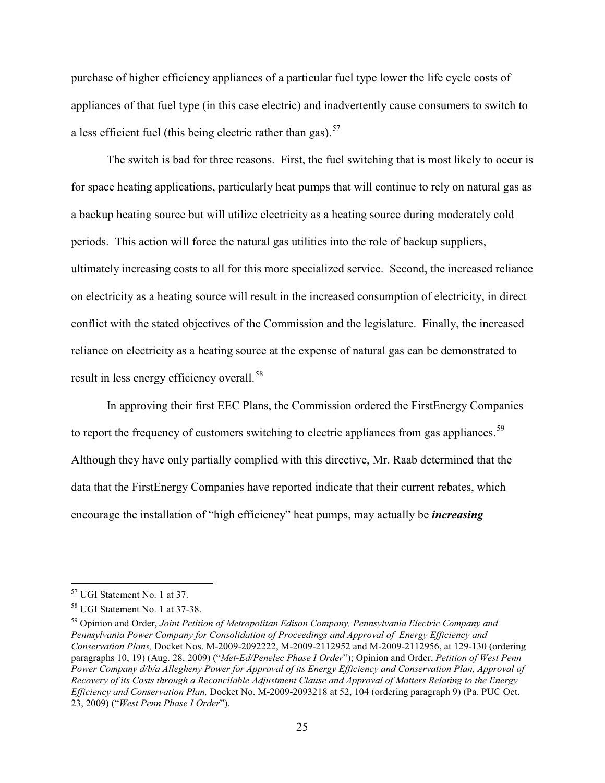purchase of higher efficiency appliances of a particular fuel type lower the life cycle costs of appliances of that fuel type (in this case electric) and inadvertently cause consumers to switch to a less efficient fuel (this being electric rather than gas).  $57$ 

The switch is bad for three reasons. First, the fuel switching that is most likely to occur is for space heating applications, particularly heat pumps that will continue to rely on natural gas as a backup heating source but will utilize electricity as a heating source during moderately cold periods. This action will force the natural gas utilities into the role of backup suppliers, ultimately increasing costs to all for this more specialized service. Second, the increased reliance on electricity as a heating source will result in the increased consumption of electricity, in direct conflict with the stated objectives of the Commission and the legislature. Finally, the increased reliance on electricity as a heating source at the expense of natural gas can be demonstrated to result in less energy efficiency overall.<sup>58</sup>

In approving their first EEC Plans, the Commission ordered the FirstEnergy Companies to report the frequency of customers switching to electric appliances from gas appliances.<sup>59</sup> Although they have only partially complied with this directive, Mr. Raab determined that the data that the FirstEnergy Companies have reported indicate that their current rebates, which encourage the installation of "high efficiency" heat pumps, may actually be *increasing*

<sup>57</sup> UGI Statement No. 1 at 37.

<sup>58</sup> UGI Statement No. 1 at 37-38.

<sup>59</sup> Opinion and Order, *Joint Petition of Metropolitan Edison Company, Pennsylvania Electric Company and Pennsylvania Power Company for Consolidation of Proceedings and Approval of Energy Efficiency and Conservation Plans,* Docket Nos. M-2009-2092222, M-2009-2112952 and M-2009-2112956, at 129-130 (ordering paragraphs 10, 19) (Aug. 28, 2009) ("*Met-Ed/Penelec Phase I Order*"); Opinion and Order, *Petition of West Penn Power Company d/b/a Allegheny Power for Approval of its Energy Efficiency and Conservation Plan, Approval of Recovery of its Costs through a Reconcilable Adjustment Clause and Approval of Matters Relating to the Energy Efficiency and Conservation Plan,* Docket No. M-2009-2093218 at 52, 104 (ordering paragraph 9) (Pa. PUC Oct. 23, 2009) ("*West Penn Phase I Order*").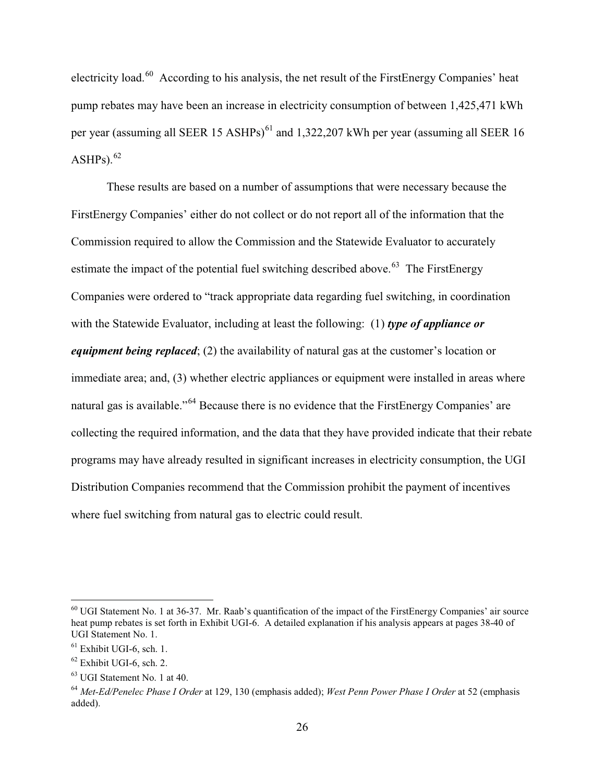electricity load.<sup>60</sup> According to his analysis, the net result of the FirstEnergy Companies' heat pump rebates may have been an increase in electricity consumption of between 1,425,471 kWh per year (assuming all SEER 15 ASHPs)<sup>61</sup> and 1,322,207 kWh per year (assuming all SEER 16  $ASHPs$ ).  $62$ 

These results are based on a number of assumptions that were necessary because the FirstEnergy Companies' either do not collect or do not report all of the information that the Commission required to allow the Commission and the Statewide Evaluator to accurately estimate the impact of the potential fuel switching described above.<sup> $63$ </sup> The FirstEnergy Companies were ordered to "track appropriate data regarding fuel switching, in coordination with the Statewide Evaluator, including at least the following: (1) *type of appliance or equipment being replaced*; (2) the availability of natural gas at the customer's location or immediate area; and, (3) whether electric appliances or equipment were installed in areas where natural gas is available."<sup>64</sup> Because there is no evidence that the FirstEnergy Companies' are collecting the required information, and the data that they have provided indicate that their rebate programs may have already resulted in significant increases in electricity consumption, the UGI Distribution Companies recommend that the Commission prohibit the payment of incentives where fuel switching from natural gas to electric could result.

 $60$  UGI Statement No. 1 at 36-37. Mr. Raab's quantification of the impact of the FirstEnergy Companies' air source heat pump rebates is set forth in Exhibit UGI-6. A detailed explanation if his analysis appears at pages 38-40 of UGI Statement No. 1.

 $<sup>61</sup>$  Exhibit UGI-6, sch. 1.</sup>

 $62$  Exhibit UGI-6, sch. 2.

<sup>63</sup> UGI Statement No. 1 at 40.

<sup>64</sup> *Met-Ed/Penelec Phase I Order* at 129, 130 (emphasis added); *West Penn Power Phase I Order* at 52 (emphasis added).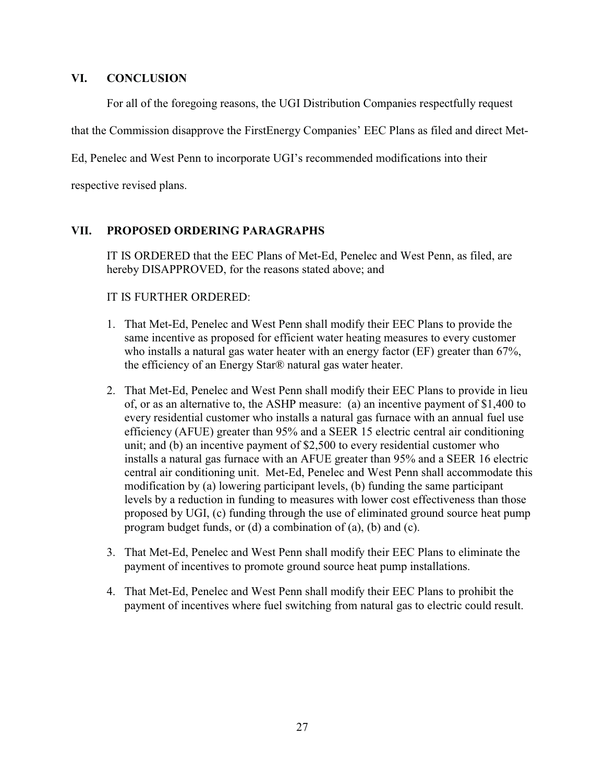### **VI. CONCLUSION**

For all of the foregoing reasons, the UGI Distribution Companies respectfully request

that the Commission disapprove the FirstEnergy Companies' EEC Plans as filed and direct Met-

Ed, Penelec and West Penn to incorporate UGI's recommended modifications into their

respective revised plans.

# **VII. PROPOSED ORDERING PARAGRAPHS**

IT IS ORDERED that the EEC Plans of Met-Ed, Penelec and West Penn, as filed, are hereby DISAPPROVED, for the reasons stated above; and

#### IT IS FURTHER ORDERED:

- 1. That Met-Ed, Penelec and West Penn shall modify their EEC Plans to provide the same incentive as proposed for efficient water heating measures to every customer who installs a natural gas water heater with an energy factor (EF) greater than 67%, the efficiency of an Energy Star® natural gas water heater.
- 2. That Met-Ed, Penelec and West Penn shall modify their EEC Plans to provide in lieu of, or as an alternative to, the ASHP measure: (a) an incentive payment of \$1,400 to every residential customer who installs a natural gas furnace with an annual fuel use efficiency (AFUE) greater than 95% and a SEER 15 electric central air conditioning unit; and (b) an incentive payment of \$2,500 to every residential customer who installs a natural gas furnace with an AFUE greater than 95% and a SEER 16 electric central air conditioning unit. Met-Ed, Penelec and West Penn shall accommodate this modification by (a) lowering participant levels, (b) funding the same participant levels by a reduction in funding to measures with lower cost effectiveness than those proposed by UGI, (c) funding through the use of eliminated ground source heat pump program budget funds, or (d) a combination of (a), (b) and (c).
- 3. That Met-Ed, Penelec and West Penn shall modify their EEC Plans to eliminate the payment of incentives to promote ground source heat pump installations.
- 4. That Met-Ed, Penelec and West Penn shall modify their EEC Plans to prohibit the payment of incentives where fuel switching from natural gas to electric could result.